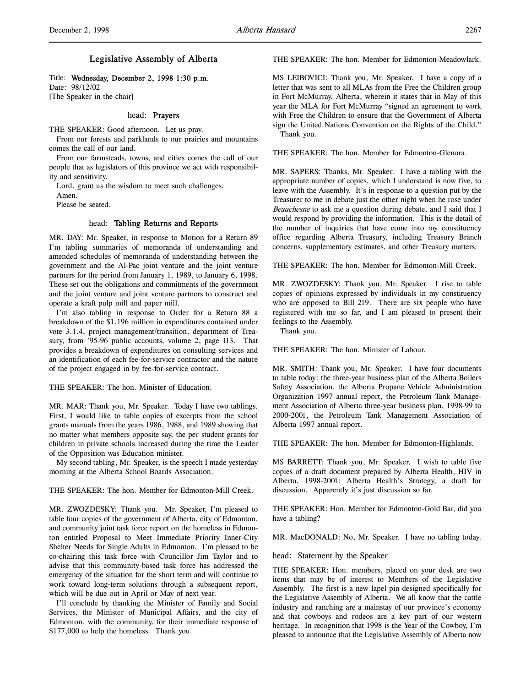# Legislative Assembly of Alberta

Title: Wednesday, December 2, 1998 1:30 p.m. Date: 98/12/02 [The Speaker in the chair]

#### head: Prayers

THE SPEAKER: Good afternoon. Let us pray.

From our forests and parklands to our prairies and mountains comes the call of our land.

From our farmsteads, towns, and cities comes the call of our people that as legislators of this province we act with responsibility and sensitivity.

Lord, grant us the wisdom to meet such challenges.

Amen.

Please be seated.

# head: Tabling Returns and Reports

MR. DAY: Mr. Speaker, in response to Motion for a Return 89 I'm tabling summaries of memoranda of understanding and amended schedules of memoranda of understanding between the government and the Al-Pac joint venture and the joint venture partners for the period from January 1, 1989, to January 6, 1998. These set out the obligations and commitments of the government and the joint venture and joint venture partners to construct and operate a kraft pulp mill and paper mill.

I'm also tabling in response to Order for a Return 88 a breakdown of the \$1.196 million in expenditures contained under vote 3.1.4, project management/transition, department of Treasury, from '95-96 public accounts, volume 2, page 113. That provides a breakdown of expenditures on consulting services and an identification of each fee-for-service contractor and the nature of the project engaged in by fee-for-service contract.

THE SPEAKER: The hon. Minister of Education.

MR. MAR: Thank you, Mr. Speaker. Today I have two tablings. First, I would like to table copies of excerpts from the school grants manuals from the years 1986, 1988, and 1989 showing that no matter what members opposite say, the per student grants for children in private schools increased during the time the Leader of the Opposition was Education minister.

My second tabling, Mr. Speaker, is the speech I made yesterday morning at the Alberta School Boards Association.

THE SPEAKER: The hon. Member for Edmonton-Mill Creek.

MR. ZWOZDESKY: Thank you. Mr. Speaker, I'm pleased to table four copies of the government of Alberta, city of Edmonton, and community joint task force report on the homeless in Edmonton entitled Proposal to Meet Immediate Priority Inner-City Shelter Needs for Single Adults in Edmonton. I'm pleased to be co-chairing this task force with Councillor Jim Taylor and to advise that this community-based task force has addressed the emergency of the situation for the short term and will continue to work toward long-term solutions through a subsequent report, which will be due out in April or May of next year.

I'll conclude by thanking the Minister of Family and Social Services, the Minister of Municipal Affairs, and the city of Edmonton, with the community, for their immediate response of \$177,000 to help the homeless. Thank you.

THE SPEAKER: The hon. Member for Edmonton-Meadowlark.

MS LEIBOVICI: Thank you, Mr. Speaker. I have a copy of a letter that was sent to all MLAs from the Free the Children group in Fort McMurray, Alberta, wherein it states that in May of this year the MLA for Fort McMurray "signed an agreement to work with Free the Children to ensure that the Government of Alberta sign the United Nations Convention on the Rights of the Child." Thank you.

THE SPEAKER: The hon. Member for Edmonton-Glenora.

MR. SAPERS: Thanks, Mr. Speaker. I have a tabling with the appropriate number of copies, which I understand is now five, to leave with the Assembly. It's in response to a question put by the Treasurer to me in debate just the other night when he rose under Beauchesne to ask me a question during debate, and I said that I would respond by providing the information. This is the detail of the number of inquiries that have come into my constituency office regarding Alberta Treasury, including Treasury Branch concerns, supplementary estimates, and other Treasury matters.

THE SPEAKER: The hon. Member for Edmonton-Mill Creek.

MR. ZWOZDESKY: Thank you, Mr. Speaker. I rise to table copies of opinions expressed by individuals in my constituency who are opposed to Bill 219. There are six people who have registered with me so far, and I am pleased to present their feelings to the Assembly.

Thank you.

THE SPEAKER: The hon. Minister of Labour.

MR. SMITH: Thank you, Mr. Speaker. I have four documents to table today: the three-year business plan of the Alberta Boilers Safety Association, the Alberta Propane Vehicle Administration Organization 1997 annual report, the Petroleum Tank Management Association of Alberta three-year business plan, 1998-99 to 2000-2001, the Petroleum Tank Management Association of Alberta 1997 annual report.

THE SPEAKER: The hon. Member for Edmonton-Highlands.

MS BARRETT: Thank you, Mr. Speaker. I wish to table five copies of a draft document prepared by Alberta Health, HIV in Alberta, 1998-2001: Alberta Health's Strategy, a draft for discussion. Apparently it's just discussion so far.

THE SPEAKER: Hon. Member for Edmonton-Gold Bar, did you have a tabling?

MR. MacDONALD: No, Mr. Speaker. I have no tabling today.

head: Statement by the Speaker

THE SPEAKER: Hon. members, placed on your desk are two items that may be of interest to Members of the Legislative Assembly. The first is a new lapel pin designed specifically for the Legislative Assembly of Alberta. We all know that the cattle industry and ranching are a mainstay of our province's economy and that cowboys and rodeos are a key part of our western heritage. In recognition that 1998 is the Year of the Cowboy, I'm pleased to announce that the Legislative Assembly of Alberta now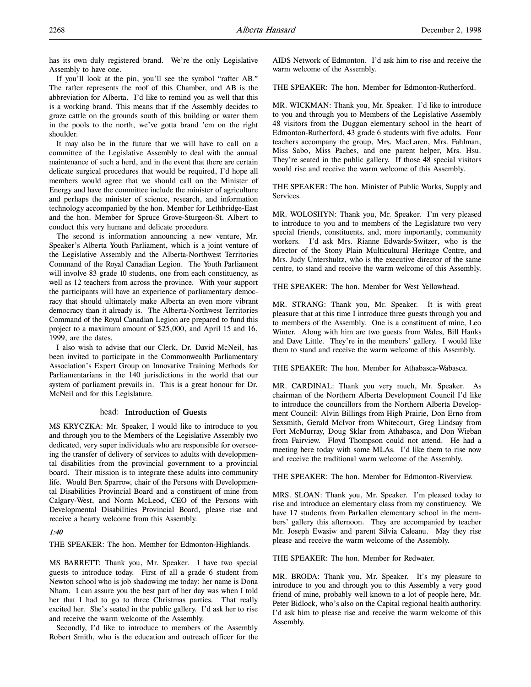has its own duly registered brand. We're the only Legislative Assembly to have one.

If you'll look at the pin, you'll see the symbol "rafter AB." The rafter represents the roof of this Chamber, and AB is the abbreviation for Alberta. I'd like to remind you as well that this is a working brand. This means that if the Assembly decides to graze cattle on the grounds south of this building or water them in the pools to the north, we've gotta brand 'em on the right shoulder.

It may also be in the future that we will have to call on a committee of the Legislative Assembly to deal with the annual maintenance of such a herd, and in the event that there are certain delicate surgical procedures that would be required, I'd hope all members would agree that we should call on the Minister of Energy and have the committee include the minister of agriculture and perhaps the minister of science, research, and information technology accompanied by the hon. Member for Lethbridge-East and the hon. Member for Spruce Grove-Sturgeon-St. Albert to conduct this very humane and delicate procedure.

The second is information announcing a new venture, Mr. Speaker's Alberta Youth Parliament, which is a joint venture of the Legislative Assembly and the Alberta-Northwest Territories Command of the Royal Canadian Legion. The Youth Parliament will involve 83 grade 10 students, one from each constituency, as well as 12 teachers from across the province. With your support the participants will have an experience of parliamentary democracy that should ultimately make Alberta an even more vibrant democracy than it already is. The Alberta-Northwest Territories Command of the Royal Canadian Legion are prepared to fund this project to a maximum amount of \$25,000, and April 15 and 16, 1999, are the dates.

I also wish to advise that our Clerk, Dr. David McNeil, has been invited to participate in the Commonwealth Parliamentary Association's Expert Group on Innovative Training Methods for Parliamentarians in the 140 jurisdictions in the world that our system of parliament prevails in. This is a great honour for Dr. McNeil and for this Legislature.

### head: Introduction of Guests

MS KRYCZKA: Mr. Speaker, I would like to introduce to you and through you to the Members of the Legislative Assembly two dedicated, very super individuals who are responsible for overseeing the transfer of delivery of services to adults with developmental disabilities from the provincial government to a provincial board. Their mission is to integrate these adults into community life. Would Bert Sparrow, chair of the Persons with Developmental Disabilities Provincial Board and a constituent of mine from Calgary-West, and Norm McLeod, CEO of the Persons with Developmental Disabilities Provincial Board, please rise and receive a hearty welcome from this Assembly.

# 1:40

THE SPEAKER: The hon. Member for Edmonton-Highlands.

MS BARRETT: Thank you, Mr. Speaker. I have two special guests to introduce today. First of all a grade 6 student from Newton school who is job shadowing me today: her name is Dona Nham. I can assure you the best part of her day was when I told her that I had to go to three Christmas parties. That really excited her. She's seated in the public gallery. I'd ask her to rise and receive the warm welcome of the Assembly.

Secondly, I'd like to introduce to members of the Assembly Robert Smith, who is the education and outreach officer for the AIDS Network of Edmonton. I'd ask him to rise and receive the warm welcome of the Assembly.

THE SPEAKER: The hon. Member for Edmonton-Rutherford.

MR. WICKMAN: Thank you, Mr. Speaker. I'd like to introduce to you and through you to Members of the Legislative Assembly 48 visitors from the Duggan elementary school in the heart of Edmonton-Rutherford, 43 grade 6 students with five adults. Four teachers accompany the group, Mrs. MacLaren, Mrs. Fahlman, Miss Sabo, Miss Paches, and one parent helper, Mrs. Hsu. They're seated in the public gallery. If those 48 special visitors would rise and receive the warm welcome of this Assembly.

THE SPEAKER: The hon. Minister of Public Works, Supply and Services.

MR. WOLOSHYN: Thank you, Mr. Speaker. I'm very pleased to introduce to you and to members of the Legislature two very special friends, constituents, and, more importantly, community workers. I'd ask Mrs. Rianne Edwards-Switzer, who is the director of the Stony Plain Multicultural Heritage Centre, and Mrs. Judy Untershultz, who is the executive director of the same centre, to stand and receive the warm welcome of this Assembly.

THE SPEAKER: The hon. Member for West Yellowhead.

MR. STRANG: Thank you, Mr. Speaker. It is with great pleasure that at this time I introduce three guests through you and to members of the Assembly. One is a constituent of mine, Leo Winter. Along with him are two guests from Wales, Bill Hanks and Dave Little. They're in the members' gallery. I would like them to stand and receive the warm welcome of this Assembly.

THE SPEAKER: The hon. Member for Athabasca-Wabasca.

MR. CARDINAL: Thank you very much, Mr. Speaker. As chairman of the Northern Alberta Development Council I'd like to introduce the councillors from the Northern Alberta Development Council: Alvin Billings from High Prairie, Don Erno from Sexsmith, Gerald McIvor from Whitecourt, Greg Lindsay from Fort McMurray, Doug Sklar from Athabasca, and Don Wieban from Fairview. Floyd Thompson could not attend. He had a meeting here today with some MLAs. I'd like them to rise now and receive the traditional warm welcome of the Assembly.

THE SPEAKER: The hon. Member for Edmonton-Riverview.

MRS. SLOAN: Thank you, Mr. Speaker. I'm pleased today to rise and introduce an elementary class from my constituency. We have 17 students from Parkallen elementary school in the members' gallery this afternoon. They are accompanied by teacher Mr. Joseph Ewasiw and parent Silvia Caleanu. May they rise please and receive the warm welcome of the Assembly.

THE SPEAKER: The hon. Member for Redwater.

MR. BRODA: Thank you, Mr. Speaker. It's my pleasure to introduce to you and through you to this Assembly a very good friend of mine, probably well known to a lot of people here, Mr. Peter Bidlock, who's also on the Capital regional health authority. I'd ask him to please rise and receive the warm welcome of this Assembly.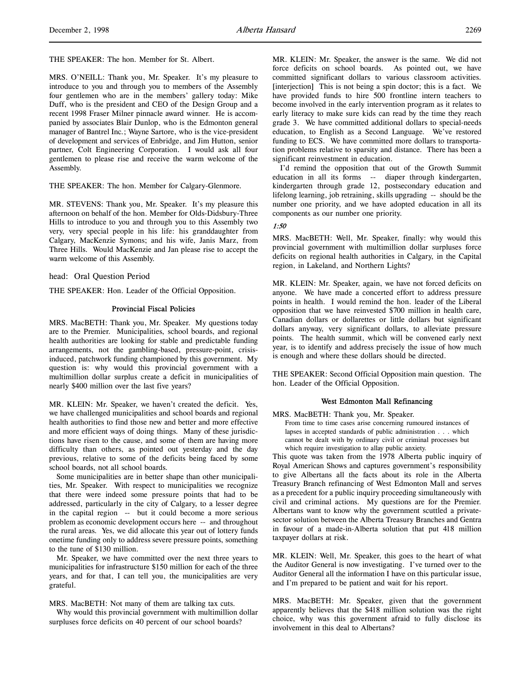MRS. O'NEILL: Thank you, Mr. Speaker. It's my pleasure to introduce to you and through you to members of the Assembly four gentlemen who are in the members' gallery today: Mike Duff, who is the president and CEO of the Design Group and a recent 1998 Fraser Milner pinnacle award winner. He is accompanied by associates Blair Dunlop, who is the Edmonton general manager of Bantrel Inc.; Wayne Sartore, who is the vice-president of development and services of Enbridge, and Jim Hutton, senior partner, Colt Engineering Corporation. I would ask all four gentlemen to please rise and receive the warm welcome of the Assembly.

THE SPEAKER: The hon. Member for Calgary-Glenmore.

MR. STEVENS: Thank you, Mr. Speaker. It's my pleasure this afternoon on behalf of the hon. Member for Olds-Didsbury-Three Hills to introduce to you and through you to this Assembly two very, very special people in his life: his granddaughter from Calgary, MacKenzie Symons; and his wife, Janis Marz, from Three Hills. Would MacKenzie and Jan please rise to accept the warm welcome of this Assembly.

head: Oral Question Period

THE SPEAKER: Hon. Leader of the Official Opposition.

### Provincial Fiscal Policies

MRS. MacBETH: Thank you, Mr. Speaker. My questions today are to the Premier. Municipalities, school boards, and regional health authorities are looking for stable and predictable funding arrangements, not the gambling-based, pressure-point, crisisinduced, patchwork funding championed by this government. My question is: why would this provincial government with a multimillion dollar surplus create a deficit in municipalities of nearly \$400 million over the last five years?

MR. KLEIN: Mr. Speaker, we haven't created the deficit. Yes, we have challenged municipalities and school boards and regional health authorities to find those new and better and more effective and more efficient ways of doing things. Many of these jurisdictions have risen to the cause, and some of them are having more difficulty than others, as pointed out yesterday and the day previous, relative to some of the deficits being faced by some school boards, not all school boards.

Some municipalities are in better shape than other municipalities, Mr. Speaker. With respect to municipalities we recognize that there were indeed some pressure points that had to be addressed, particularly in the city of Calgary, to a lesser degree in the capital region -- but it could become a more serious problem as economic development occurs here -- and throughout the rural areas. Yes, we did allocate this year out of lottery funds onetime funding only to address severe pressure points, something to the tune of \$130 million.

Mr. Speaker, we have committed over the next three years to municipalities for infrastructure \$150 million for each of the three years, and for that, I can tell you, the municipalities are very grateful.

MRS. MacBETH: Not many of them are talking tax cuts.

Why would this provincial government with multimillion dollar surpluses force deficits on 40 percent of our school boards?

MR. KLEIN: Mr. Speaker, the answer is the same. We did not force deficits on school boards. As pointed out, we have committed significant dollars to various classroom activities. [interjection] This is not being a spin doctor; this is a fact. We have provided funds to hire 500 frontline intern teachers to become involved in the early intervention program as it relates to early literacy to make sure kids can read by the time they reach grade 3. We have committed additional dollars to special-needs education, to English as a Second Language. We've restored funding to ECS. We have committed more dollars to transportation problems relative to sparsity and distance. There has been a significant reinvestment in education.

I'd remind the opposition that out of the Growth Summit education in all its forms -- diaper through kindergarten, kindergarten through grade 12, postsecondary education and lifelong learning, job retraining, skills upgrading -- should be the number one priority, and we have adopted education in all its components as our number one priority.

### 1:50

MRS. MacBETH: Well, Mr. Speaker, finally: why would this provincial government with multimillion dollar surpluses force deficits on regional health authorities in Calgary, in the Capital region, in Lakeland, and Northern Lights?

MR. KLEIN: Mr. Speaker, again, we have not forced deficits on anyone. We have made a concerted effort to address pressure points in health. I would remind the hon. leader of the Liberal opposition that we have reinvested \$700 million in health care, Canadian dollars or dollarettes or little dollars but significant dollars anyway, very significant dollars, to alleviate pressure points. The health summit, which will be convened early next year, is to identify and address precisely the issue of how much is enough and where these dollars should be directed.

THE SPEAKER: Second Official Opposition main question. The hon. Leader of the Official Opposition.

### West Edmonton Mall Refinancing

MRS. MacBETH: Thank you, Mr. Speaker.

From time to time cases arise concerning rumoured instances of lapses in accepted standards of public administration . . . which cannot be dealt with by ordinary civil or criminal processes but which require investigation to allay public anxiety.

This quote was taken from the 1978 Alberta public inquiry of Royal American Shows and captures government's responsibility to give Albertans all the facts about its role in the Alberta Treasury Branch refinancing of West Edmonton Mall and serves as a precedent for a public inquiry proceeding simultaneously with civil and criminal actions. My questions are for the Premier. Albertans want to know why the government scuttled a privatesector solution between the Alberta Treasury Branches and Gentra in favour of a made-in-Alberta solution that put 418 million taxpayer dollars at risk.

MR. KLEIN: Well, Mr. Speaker, this goes to the heart of what the Auditor General is now investigating. I've turned over to the Auditor General all the information I have on this particular issue, and I'm prepared to be patient and wait for his report.

MRS. MacBETH: Mr. Speaker, given that the government apparently believes that the \$418 million solution was the right choice, why was this government afraid to fully disclose its involvement in this deal to Albertans?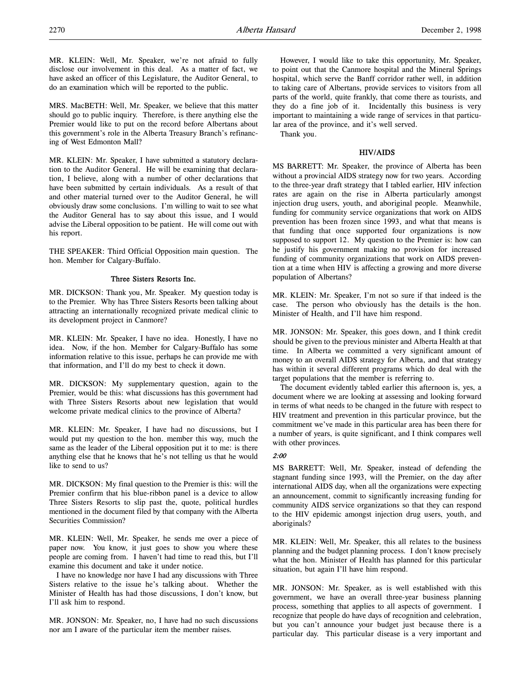MRS. MacBETH: Well, Mr. Speaker, we believe that this matter should go to public inquiry. Therefore, is there anything else the Premier would like to put on the record before Albertans about this government's role in the Alberta Treasury Branch's refinancing of West Edmonton Mall?

MR. KLEIN: Mr. Speaker, I have submitted a statutory declaration to the Auditor General. He will be examining that declaration, I believe, along with a number of other declarations that have been submitted by certain individuals. As a result of that and other material turned over to the Auditor General, he will obviously draw some conclusions. I'm willing to wait to see what the Auditor General has to say about this issue, and I would advise the Liberal opposition to be patient. He will come out with his report.

THE SPEAKER: Third Official Opposition main question. The hon. Member for Calgary-Buffalo.

### Three Sisters Resorts Inc.

MR. DICKSON: Thank you, Mr. Speaker. My question today is to the Premier. Why has Three Sisters Resorts been talking about attracting an internationally recognized private medical clinic to its development project in Canmore?

MR. KLEIN: Mr. Speaker, I have no idea. Honestly, I have no idea. Now, if the hon. Member for Calgary-Buffalo has some information relative to this issue, perhaps he can provide me with that information, and I'll do my best to check it down.

MR. DICKSON: My supplementary question, again to the Premier, would be this: what discussions has this government had with Three Sisters Resorts about new legislation that would welcome private medical clinics to the province of Alberta?

MR. KLEIN: Mr. Speaker, I have had no discussions, but I would put my question to the hon. member this way, much the same as the leader of the Liberal opposition put it to me: is there anything else that he knows that he's not telling us that he would like to send to us?

MR. DICKSON: My final question to the Premier is this: will the Premier confirm that his blue-ribbon panel is a device to allow Three Sisters Resorts to slip past the, quote, political hurdles mentioned in the document filed by that company with the Alberta Securities Commission?

MR. KLEIN: Well, Mr. Speaker, he sends me over a piece of paper now. You know, it just goes to show you where these people are coming from. I haven't had time to read this, but I'll examine this document and take it under notice.

I have no knowledge nor have I had any discussions with Three Sisters relative to the issue he's talking about. Whether the Minister of Health has had those discussions, I don't know, but I'll ask him to respond.

MR. JONSON: Mr. Speaker, no, I have had no such discussions nor am I aware of the particular item the member raises.

However, I would like to take this opportunity, Mr. Speaker, to point out that the Canmore hospital and the Mineral Springs hospital, which serve the Banff corridor rather well, in addition to taking care of Albertans, provide services to visitors from all parts of the world, quite frankly, that come there as tourists, and they do a fine job of it. Incidentally this business is very important to maintaining a wide range of services in that particular area of the province, and it's well served.

Thank you.

# HIV/AIDS

MS BARRETT: Mr. Speaker, the province of Alberta has been without a provincial AIDS strategy now for two years. According to the three-year draft strategy that I tabled earlier, HIV infection rates are again on the rise in Alberta particularly amongst injection drug users, youth, and aboriginal people. Meanwhile, funding for community service organizations that work on AIDS prevention has been frozen since 1993, and what that means is that funding that once supported four organizations is now supposed to support 12. My question to the Premier is: how can he justify his government making no provision for increased funding of community organizations that work on AIDS prevention at a time when HIV is affecting a growing and more diverse population of Albertans?

MR. KLEIN: Mr. Speaker, I'm not so sure if that indeed is the case. The person who obviously has the details is the hon. Minister of Health, and I'll have him respond.

MR. JONSON: Mr. Speaker, this goes down, and I think credit should be given to the previous minister and Alberta Health at that time. In Alberta we committed a very significant amount of money to an overall AIDS strategy for Alberta, and that strategy has within it several different programs which do deal with the target populations that the member is referring to.

The document evidently tabled earlier this afternoon is, yes, a document where we are looking at assessing and looking forward in terms of what needs to be changed in the future with respect to HIV treatment and prevention in this particular province, but the commitment we've made in this particular area has been there for a number of years, is quite significant, and I think compares well with other provinces.

## 2:00

MS BARRETT: Well, Mr. Speaker, instead of defending the stagnant funding since 1993, will the Premier, on the day after international AIDS day, when all the organizations were expecting an announcement, commit to significantly increasing funding for community AIDS service organizations so that they can respond to the HIV epidemic amongst injection drug users, youth, and aboriginals?

MR. KLEIN: Well, Mr. Speaker, this all relates to the business planning and the budget planning process. I don't know precisely what the hon. Minister of Health has planned for this particular situation, but again I'll have him respond.

MR. JONSON: Mr. Speaker, as is well established with this government, we have an overall three-year business planning process, something that applies to all aspects of government. I recognize that people do have days of recognition and celebration, but you can't announce your budget just because there is a particular day. This particular disease is a very important and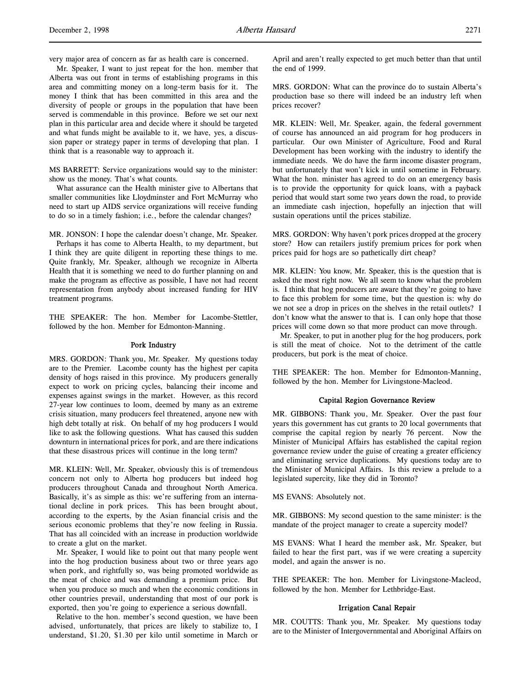Mr. Speaker, I want to just repeat for the hon. member that Alberta was out front in terms of establishing programs in this area and committing money on a long-term basis for it. The money I think that has been committed in this area and the diversity of people or groups in the population that have been served is commendable in this province. Before we set our next plan in this particular area and decide where it should be targeted and what funds might be available to it, we have, yes, a discussion paper or strategy paper in terms of developing that plan. I think that is a reasonable way to approach it.

MS BARRETT: Service organizations would say to the minister: show us the money. That's what counts.

What assurance can the Health minister give to Albertans that smaller communities like Lloydminster and Fort McMurray who need to start up AIDS service organizations will receive funding to do so in a timely fashion; i.e., before the calendar changes?

MR. JONSON: I hope the calendar doesn't change, Mr. Speaker.

Perhaps it has come to Alberta Health, to my department, but I think they are quite diligent in reporting these things to me. Quite frankly, Mr. Speaker, although we recognize in Alberta Health that it is something we need to do further planning on and make the program as effective as possible, I have not had recent representation from anybody about increased funding for HIV treatment programs.

THE SPEAKER: The hon. Member for Lacombe-Stettler, followed by the hon. Member for Edmonton-Manning.

#### Pork Industry

MRS. GORDON: Thank you, Mr. Speaker. My questions today are to the Premier. Lacombe county has the highest per capita density of hogs raised in this province. My producers generally expect to work on pricing cycles, balancing their income and expenses against swings in the market. However, as this record 27-year low continues to loom, deemed by many as an extreme crisis situation, many producers feel threatened, anyone new with high debt totally at risk. On behalf of my hog producers I would like to ask the following questions. What has caused this sudden downturn in international prices for pork, and are there indications that these disastrous prices will continue in the long term?

MR. KLEIN: Well, Mr. Speaker, obviously this is of tremendous concern not only to Alberta hog producers but indeed hog producers throughout Canada and throughout North America. Basically, it's as simple as this: we're suffering from an international decline in pork prices. This has been brought about, according to the experts, by the Asian financial crisis and the serious economic problems that they're now feeling in Russia. That has all coincided with an increase in production worldwide to create a glut on the market.

Mr. Speaker, I would like to point out that many people went into the hog production business about two or three years ago when pork, and rightfully so, was being promoted worldwide as the meat of choice and was demanding a premium price. But when you produce so much and when the economic conditions in other countries prevail, understanding that most of our pork is exported, then you're going to experience a serious downfall.

Relative to the hon. member's second question, we have been advised, unfortunately, that prices are likely to stabilize to, I understand, \$1.20, \$1.30 per kilo until sometime in March or

April and aren't really expected to get much better than that until the end of 1999.

MRS. GORDON: What can the province do to sustain Alberta's production base so there will indeed be an industry left when prices recover?

MR. KLEIN: Well, Mr. Speaker, again, the federal government of course has announced an aid program for hog producers in particular. Our own Minister of Agriculture, Food and Rural Development has been working with the industry to identify the immediate needs. We do have the farm income disaster program, but unfortunately that won't kick in until sometime in February. What the hon. minister has agreed to do on an emergency basis is to provide the opportunity for quick loans, with a payback period that would start some two years down the road, to provide an immediate cash injection, hopefully an injection that will sustain operations until the prices stabilize.

MRS. GORDON: Why haven't pork prices dropped at the grocery store? How can retailers justify premium prices for pork when prices paid for hogs are so pathetically dirt cheap?

MR. KLEIN: You know, Mr. Speaker, this is the question that is asked the most right now. We all seem to know what the problem is. I think that hog producers are aware that they're going to have to face this problem for some time, but the question is: why do we not see a drop in prices on the shelves in the retail outlets? I don't know what the answer to that is. I can only hope that those prices will come down so that more product can move through.

Mr. Speaker, to put in another plug for the hog producers, pork is still the meat of choice. Not to the detriment of the cattle producers, but pork is the meat of choice.

THE SPEAKER: The hon. Member for Edmonton-Manning, followed by the hon. Member for Livingstone-Macleod.

### Capital Region Governance Review

MR. GIBBONS: Thank you, Mr. Speaker. Over the past four years this government has cut grants to 20 local governments that comprise the capital region by nearly 76 percent. Now the Minister of Municipal Affairs has established the capital region governance review under the guise of creating a greater efficiency and eliminating service duplications. My questions today are to the Minister of Municipal Affairs. Is this review a prelude to a legislated supercity, like they did in Toronto?

MS EVANS: Absolutely not.

MR. GIBBONS: My second question to the same minister: is the mandate of the project manager to create a supercity model?

MS EVANS: What I heard the member ask, Mr. Speaker, but failed to hear the first part, was if we were creating a supercity model, and again the answer is no.

THE SPEAKER: The hon. Member for Livingstone-Macleod, followed by the hon. Member for Lethbridge-East.

#### Irrigation Canal Repair

MR. COUTTS: Thank you, Mr. Speaker. My questions today are to the Minister of Intergovernmental and Aboriginal Affairs on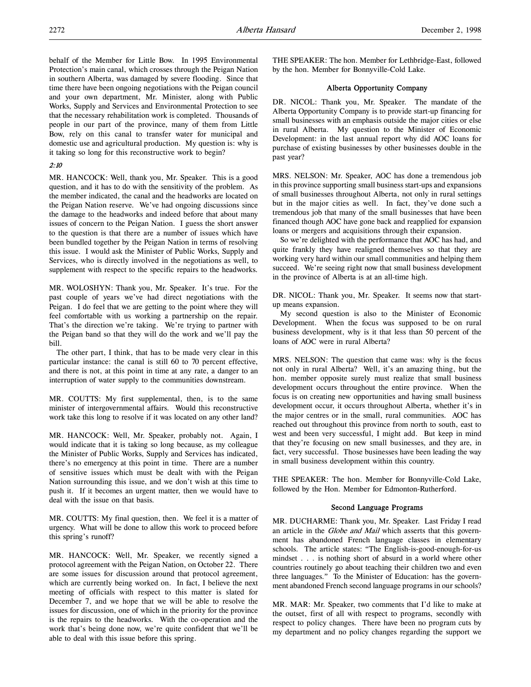behalf of the Member for Little Bow. In 1995 Environmental Protection's main canal, which crosses through the Peigan Nation in southern Alberta, was damaged by severe flooding. Since that time there have been ongoing negotiations with the Peigan council and your own department, Mr. Minister, along with Public Works, Supply and Services and Environmental Protection to see that the necessary rehabilitation work is completed. Thousands of people in our part of the province, many of them from Little Bow, rely on this canal to transfer water for municipal and domestic use and agricultural production. My question is: why is it taking so long for this reconstructive work to begin?

## 2:10

MR. HANCOCK: Well, thank you, Mr. Speaker. This is a good question, and it has to do with the sensitivity of the problem. As the member indicated, the canal and the headworks are located on the Peigan Nation reserve. We've had ongoing discussions since the damage to the headworks and indeed before that about many issues of concern to the Peigan Nation. I guess the short answer to the question is that there are a number of issues which have been bundled together by the Peigan Nation in terms of resolving this issue. I would ask the Minister of Public Works, Supply and Services, who is directly involved in the negotiations as well, to supplement with respect to the specific repairs to the headworks.

MR. WOLOSHYN: Thank you, Mr. Speaker. It's true. For the past couple of years we've had direct negotiations with the Peigan. I do feel that we are getting to the point where they will feel comfortable with us working a partnership on the repair. That's the direction we're taking. We're trying to partner with the Peigan band so that they will do the work and we'll pay the bill.

The other part, I think, that has to be made very clear in this particular instance: the canal is still 60 to 70 percent effective, and there is not, at this point in time at any rate, a danger to an interruption of water supply to the communities downstream.

MR. COUTTS: My first supplemental, then, is to the same minister of intergovernmental affairs. Would this reconstructive work take this long to resolve if it was located on any other land?

MR. HANCOCK: Well, Mr. Speaker, probably not. Again, I would indicate that it is taking so long because, as my colleague the Minister of Public Works, Supply and Services has indicated, there's no emergency at this point in time. There are a number of sensitive issues which must be dealt with with the Peigan Nation surrounding this issue, and we don't wish at this time to push it. If it becomes an urgent matter, then we would have to deal with the issue on that basis.

MR. COUTTS: My final question, then. We feel it is a matter of urgency. What will be done to allow this work to proceed before this spring's runoff?

MR. HANCOCK: Well, Mr. Speaker, we recently signed a protocol agreement with the Peigan Nation, on October 22. There are some issues for discussion around that protocol agreement, which are currently being worked on. In fact, I believe the next meeting of officials with respect to this matter is slated for December 7, and we hope that we will be able to resolve the issues for discussion, one of which in the priority for the province is the repairs to the headworks. With the co-operation and the work that's being done now, we're quite confident that we'll be able to deal with this issue before this spring.

THE SPEAKER: The hon. Member for Lethbridge-East, followed by the hon. Member for Bonnyville-Cold Lake.

# Alberta Opportunity Company

DR. NICOL: Thank you, Mr. Speaker. The mandate of the Alberta Opportunity Company is to provide start-up financing for small businesses with an emphasis outside the major cities or else in rural Alberta. My question to the Minister of Economic Development: in the last annual report why did AOC loans for purchase of existing businesses by other businesses double in the past year?

MRS. NELSON: Mr. Speaker, AOC has done a tremendous job in this province supporting small business start-ups and expansions of small businesses throughout Alberta, not only in rural settings but in the major cities as well. In fact, they've done such a tremendous job that many of the small businesses that have been financed though AOC have gone back and reapplied for expansion loans or mergers and acquisitions through their expansion.

So we're delighted with the performance that AOC has had, and quite frankly they have realigned themselves so that they are working very hard within our small communities and helping them succeed. We're seeing right now that small business development in the province of Alberta is at an all-time high.

DR. NICOL: Thank you, Mr. Speaker. It seems now that startup means expansion.

My second question is also to the Minister of Economic Development. When the focus was supposed to be on rural business development, why is it that less than 50 percent of the loans of AOC were in rural Alberta?

MRS. NELSON: The question that came was: why is the focus not only in rural Alberta? Well, it's an amazing thing, but the hon. member opposite surely must realize that small business development occurs throughout the entire province. When the focus is on creating new opportunities and having small business development occur, it occurs throughout Alberta, whether it's in the major centres or in the small, rural communities. AOC has reached out throughout this province from north to south, east to west and been very successful, I might add. But keep in mind that they're focusing on new small businesses, and they are, in fact, very successful. Those businesses have been leading the way in small business development within this country.

THE SPEAKER: The hon. Member for Bonnyville-Cold Lake, followed by the Hon. Member for Edmonton-Rutherford.

## Second Language Programs

MR. DUCHARME: Thank you, Mr. Speaker. Last Friday I read an article in the *Globe and Mail* which asserts that this government has abandoned French language classes in elementary schools. The article states: "The English-is-good-enough-for-us mindset . . . is nothing short of absurd in a world where other countries routinely go about teaching their children two and even three languages." To the Minister of Education: has the government abandoned French second language programs in our schools?

MR. MAR: Mr. Speaker, two comments that I'd like to make at the outset, first of all with respect to programs, secondly with respect to policy changes. There have been no program cuts by my department and no policy changes regarding the support we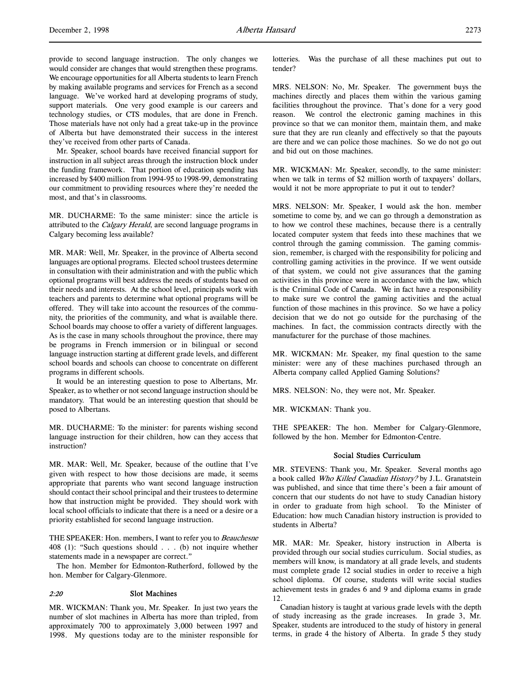provide to second language instruction. The only changes we would consider are changes that would strengthen these programs. We encourage opportunities for all Alberta students to learn French by making available programs and services for French as a second language. We've worked hard at developing programs of study, support materials. One very good example is our careers and technology studies, or CTS modules, that are done in French. Those materials have not only had a great take-up in the province of Alberta but have demonstrated their success in the interest they've received from other parts of Canada.

Mr. Speaker, school boards have received financial support for instruction in all subject areas through the instruction block under the funding framework. That portion of education spending has increased by \$400 million from 1994-95 to 1998-99, demonstrating our commitment to providing resources where they're needed the most, and that's in classrooms.

MR. DUCHARME: To the same minister: since the article is attributed to the Calgary Herald, are second language programs in Calgary becoming less available?

MR. MAR: Well, Mr. Speaker, in the province of Alberta second languages are optional programs. Elected school trustees determine in consultation with their administration and with the public which optional programs will best address the needs of students based on their needs and interests. At the school level, principals work with teachers and parents to determine what optional programs will be offered. They will take into account the resources of the community, the priorities of the community, and what is available there. School boards may choose to offer a variety of different languages. As is the case in many schools throughout the province, there may be programs in French immersion or in bilingual or second language instruction starting at different grade levels, and different school boards and schools can choose to concentrate on different programs in different schools.

It would be an interesting question to pose to Albertans, Mr. Speaker, as to whether or not second language instruction should be mandatory. That would be an interesting question that should be posed to Albertans.

MR. DUCHARME: To the minister: for parents wishing second language instruction for their children, how can they access that instruction?

MR. MAR: Well, Mr. Speaker, because of the outline that I've given with respect to how those decisions are made, it seems appropriate that parents who want second language instruction should contact their school principal and their trustees to determine how that instruction might be provided. They should work with local school officials to indicate that there is a need or a desire or a priority established for second language instruction.

THE SPEAKER: Hon. members, I want to refer you to Beauchesne 408 (1): "Such questions should . . . (b) not inquire whether statements made in a newspaper are correct."

The hon. Member for Edmonton-Rutherford, followed by the hon. Member for Calgary-Glenmore.

## 2:20 Slot Machines

MR. WICKMAN: Thank you, Mr. Speaker. In just two years the number of slot machines in Alberta has more than tripled, from approximately 700 to approximately 3,000 between 1997 and 1998. My questions today are to the minister responsible for

lotteries. Was the purchase of all these machines put out to tender?

MRS. NELSON: No, Mr. Speaker. The government buys the machines directly and places them within the various gaming facilities throughout the province. That's done for a very good reason. We control the electronic gaming machines in this province so that we can monitor them, maintain them, and make sure that they are run cleanly and effectively so that the payouts are there and we can police those machines. So we do not go out and bid out on those machines.

MR. WICKMAN: Mr. Speaker, secondly, to the same minister: when we talk in terms of \$2 million worth of taxpayers' dollars, would it not be more appropriate to put it out to tender?

MRS. NELSON: Mr. Speaker, I would ask the hon. member sometime to come by, and we can go through a demonstration as to how we control these machines, because there is a centrally located computer system that feeds into these machines that we control through the gaming commission. The gaming commission, remember, is charged with the responsibility for policing and controlling gaming activities in the province. If we went outside of that system, we could not give assurances that the gaming activities in this province were in accordance with the law, which is the Criminal Code of Canada. We in fact have a responsibility to make sure we control the gaming activities and the actual function of those machines in this province. So we have a policy decision that we do not go outside for the purchasing of the machines. In fact, the commission contracts directly with the manufacturer for the purchase of those machines.

MR. WICKMAN: Mr. Speaker, my final question to the same minister: were any of these machines purchased through an Alberta company called Applied Gaming Solutions?

MRS. NELSON: No, they were not, Mr. Speaker.

MR. WICKMAN: Thank you.

THE SPEAKER: The hon. Member for Calgary-Glenmore, followed by the hon. Member for Edmonton-Centre.

#### Social Studies Curriculum

MR. STEVENS: Thank you, Mr. Speaker. Several months ago a book called Who Killed Canadian History? by J.L. Granatstein was published, and since that time there's been a fair amount of concern that our students do not have to study Canadian history in order to graduate from high school. To the Minister of Education: how much Canadian history instruction is provided to students in Alberta?

MR. MAR: Mr. Speaker, history instruction in Alberta is provided through our social studies curriculum. Social studies, as members will know, is mandatory at all grade levels, and students must complete grade 12 social studies in order to receive a high school diploma. Of course, students will write social studies achievement tests in grades 6 and 9 and diploma exams in grade 12.

Canadian history is taught at various grade levels with the depth of study increasing as the grade increases. In grade 3, Mr. Speaker, students are introduced to the study of history in general terms, in grade 4 the history of Alberta. In grade 5 they study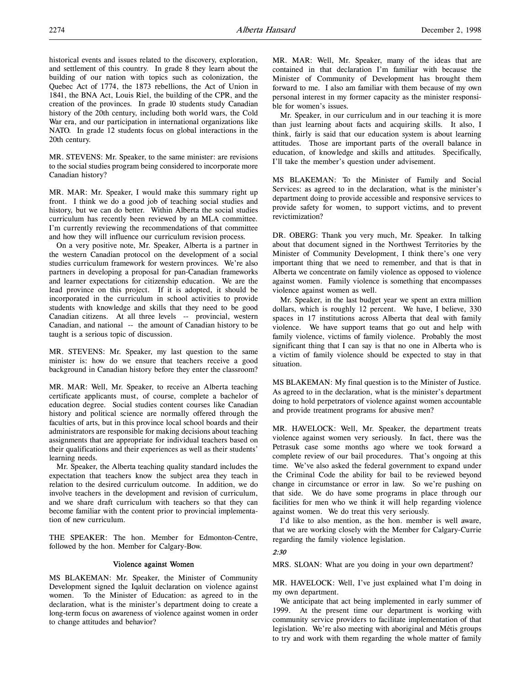historical events and issues related to the discovery, exploration, and settlement of this country. In grade 8 they learn about the building of our nation with topics such as colonization, the Quebec Act of 1774, the 1873 rebellions, the Act of Union in 1841, the BNA Act, Louis Riel, the building of the CPR, and the creation of the provinces. In grade 10 students study Canadian history of the 20th century, including both world wars, the Cold War era, and our participation in international organizations like NATO. In grade 12 students focus on global interactions in the 20th century.

MR. STEVENS: Mr. Speaker, to the same minister: are revisions to the social studies program being considered to incorporate more Canadian history?

MR. MAR: Mr. Speaker, I would make this summary right up front. I think we do a good job of teaching social studies and history, but we can do better. Within Alberta the social studies curriculum has recently been reviewed by an MLA committee. I'm currently reviewing the recommendations of that committee and how they will influence our curriculum revision process.

On a very positive note, Mr. Speaker, Alberta is a partner in the western Canadian protocol on the development of a social studies curriculum framework for western provinces. We're also partners in developing a proposal for pan-Canadian frameworks and learner expectations for citizenship education. We are the lead province on this project. If it is adopted, it should be incorporated in the curriculum in school activities to provide students with knowledge and skills that they need to be good Canadian citizens. At all three levels -- provincial, western Canadian, and national -- the amount of Canadian history to be taught is a serious topic of discussion.

MR. STEVENS: Mr. Speaker, my last question to the same minister is: how do we ensure that teachers receive a good background in Canadian history before they enter the classroom?

MR. MAR: Well, Mr. Speaker, to receive an Alberta teaching certificate applicants must, of course, complete a bachelor of education degree. Social studies content courses like Canadian history and political science are normally offered through the faculties of arts, but in this province local school boards and their administrators are responsible for making decisions about teaching assignments that are appropriate for individual teachers based on their qualifications and their experiences as well as their students' learning needs.

Mr. Speaker, the Alberta teaching quality standard includes the expectation that teachers know the subject area they teach in relation to the desired curriculum outcome. In addition, we do involve teachers in the development and revision of curriculum, and we share draft curriculum with teachers so that they can become familiar with the content prior to provincial implementation of new curriculum.

THE SPEAKER: The hon. Member for Edmonton-Centre, followed by the hon. Member for Calgary-Bow.

## Violence against Women

MS BLAKEMAN: Mr. Speaker, the Minister of Community Development signed the Iqaluit declaration on violence against women. To the Minister of Education: as agreed to in the declaration, what is the minister's department doing to create a long-term focus on awareness of violence against women in order to change attitudes and behavior?

MR. MAR: Well, Mr. Speaker, many of the ideas that are contained in that declaration I'm familiar with because the Minister of Community of Development has brought them forward to me. I also am familiar with them because of my own personal interest in my former capacity as the minister responsible for women's issues.

Mr. Speaker, in our curriculum and in our teaching it is more than just learning about facts and acquiring skills. It also, I think, fairly is said that our education system is about learning attitudes. Those are important parts of the overall balance in education, of knowledge and skills and attitudes. Specifically, I'll take the member's question under advisement.

MS BLAKEMAN: To the Minister of Family and Social Services: as agreed to in the declaration, what is the minister's department doing to provide accessible and responsive services to provide safety for women, to support victims, and to prevent revictimization?

DR. OBERG: Thank you very much, Mr. Speaker. In talking about that document signed in the Northwest Territories by the Minister of Community Development, I think there's one very important thing that we need to remember, and that is that in Alberta we concentrate on family violence as opposed to violence against women. Family violence is something that encompasses violence against women as well.

Mr. Speaker, in the last budget year we spent an extra million dollars, which is roughly 12 percent. We have, I believe, 330 spaces in 17 institutions across Alberta that deal with family violence. We have support teams that go out and help with family violence, victims of family violence. Probably the most significant thing that I can say is that no one in Alberta who is a victim of family violence should be expected to stay in that situation.

MS BLAKEMAN: My final question is to the Minister of Justice. As agreed to in the declaration, what is the minister's department doing to hold perpetrators of violence against women accountable and provide treatment programs for abusive men?

MR. HAVELOCK: Well, Mr. Speaker, the department treats violence against women very seriously. In fact, there was the Petrasuk case some months ago where we took forward a complete review of our bail procedures. That's ongoing at this time. We've also asked the federal government to expand under the Criminal Code the ability for bail to be reviewed beyond change in circumstance or error in law. So we're pushing on that side. We do have some programs in place through our facilities for men who we think it will help regarding violence against women. We do treat this very seriously.

I'd like to also mention, as the hon. member is well aware, that we are working closely with the Member for Calgary-Currie regarding the family violence legislation.

## 2:30

MRS. SLOAN: What are you doing in your own department?

MR. HAVELOCK: Well, I've just explained what I'm doing in my own department.

We anticipate that act being implemented in early summer of 1999. At the present time our department is working with community service providers to facilitate implementation of that legislation. We're also meeting with aboriginal and Métis groups to try and work with them regarding the whole matter of family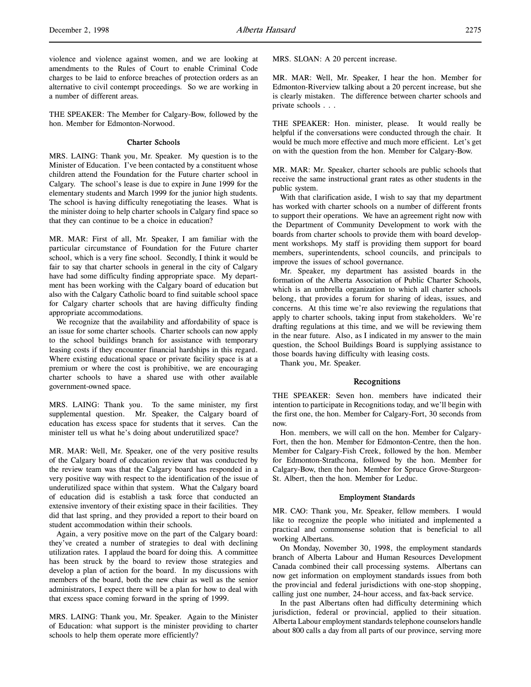violence and violence against women, and we are looking at amendments to the Rules of Court to enable Criminal Code charges to be laid to enforce breaches of protection orders as an alternative to civil contempt proceedings. So we are working in a number of different areas.

THE SPEAKER: The Member for Calgary-Bow, followed by the hon. Member for Edmonton-Norwood.

## Charter Schools

MRS. LAING: Thank you, Mr. Speaker. My question is to the Minister of Education. I've been contacted by a constituent whose children attend the Foundation for the Future charter school in Calgary. The school's lease is due to expire in June 1999 for the elementary students and March 1999 for the junior high students. The school is having difficulty renegotiating the leases. What is the minister doing to help charter schools in Calgary find space so that they can continue to be a choice in education?

MR. MAR: First of all, Mr. Speaker, I am familiar with the particular circumstance of Foundation for the Future charter school, which is a very fine school. Secondly, I think it would be fair to say that charter schools in general in the city of Calgary have had some difficulty finding appropriate space. My department has been working with the Calgary board of education but also with the Calgary Catholic board to find suitable school space for Calgary charter schools that are having difficulty finding appropriate accommodations.

We recognize that the availability and affordability of space is an issue for some charter schools. Charter schools can now apply to the school buildings branch for assistance with temporary leasing costs if they encounter financial hardships in this regard. Where existing educational space or private facility space is at a premium or where the cost is prohibitive, we are encouraging charter schools to have a shared use with other available government-owned space.

MRS. LAING: Thank you. To the same minister, my first supplemental question. Mr. Speaker, the Calgary board of education has excess space for students that it serves. Can the minister tell us what he's doing about underutilized space?

MR. MAR: Well, Mr. Speaker, one of the very positive results of the Calgary board of education review that was conducted by the review team was that the Calgary board has responded in a very positive way with respect to the identification of the issue of underutilized space within that system. What the Calgary board of education did is establish a task force that conducted an extensive inventory of their existing space in their facilities. They did that last spring, and they provided a report to their board on student accommodation within their schools.

Again, a very positive move on the part of the Calgary board: they've created a number of strategies to deal with declining utilization rates. I applaud the board for doing this. A committee has been struck by the board to review those strategies and develop a plan of action for the board. In my discussions with members of the board, both the new chair as well as the senior administrators, I expect there will be a plan for how to deal with that excess space coming forward in the spring of 1999.

MRS. LAING: Thank you, Mr. Speaker. Again to the Minister of Education: what support is the minister providing to charter schools to help them operate more efficiently?

MRS. SLOAN: A 20 percent increase.

MR. MAR: Well, Mr. Speaker, I hear the hon. Member for Edmonton-Riverview talking about a 20 percent increase, but she is clearly mistaken. The difference between charter schools and private schools . . .

THE SPEAKER: Hon. minister, please. It would really be helpful if the conversations were conducted through the chair. It would be much more effective and much more efficient. Let's get on with the question from the hon. Member for Calgary-Bow.

MR. MAR: Mr. Speaker, charter schools are public schools that receive the same instructional grant rates as other students in the public system.

With that clarification aside, I wish to say that my department has worked with charter schools on a number of different fronts to support their operations. We have an agreement right now with the Department of Community Development to work with the boards from charter schools to provide them with board development workshops. My staff is providing them support for board members, superintendents, school councils, and principals to improve the issues of school governance.

Mr. Speaker, my department has assisted boards in the formation of the Alberta Association of Public Charter Schools, which is an umbrella organization to which all charter schools belong, that provides a forum for sharing of ideas, issues, and concerns. At this time we're also reviewing the regulations that apply to charter schools, taking input from stakeholders. We're drafting regulations at this time, and we will be reviewing them in the near future. Also, as I indicated in my answer to the main question, the School Buildings Board is supplying assistance to those boards having difficulty with leasing costs.

Thank you, Mr. Speaker.

### Recognitions

THE SPEAKER: Seven hon. members have indicated their intention to participate in Recognitions today, and we'll begin with the first one, the hon. Member for Calgary-Fort, 30 seconds from now.

Hon. members, we will call on the hon. Member for Calgary-Fort, then the hon. Member for Edmonton-Centre, then the hon. Member for Calgary-Fish Creek, followed by the hon. Member for Edmonton-Strathcona, followed by the hon. Member for Calgary-Bow, then the hon. Member for Spruce Grove-Sturgeon-St. Albert, then the hon. Member for Leduc.

#### Employment Standards

MR. CAO: Thank you, Mr. Speaker, fellow members. I would like to recognize the people who initiated and implemented a practical and commonsense solution that is beneficial to all working Albertans.

On Monday, November 30, 1998, the employment standards branch of Alberta Labour and Human Resources Development Canada combined their call processing systems. Albertans can now get information on employment standards issues from both the provincial and federal jurisdictions with one-stop shopping, calling just one number, 24-hour access, and fax-back service.

In the past Albertans often had difficulty determining which jurisdiction, federal or provincial, applied to their situation. Alberta Labour employment standards telephone counselors handle about 800 calls a day from all parts of our province, serving more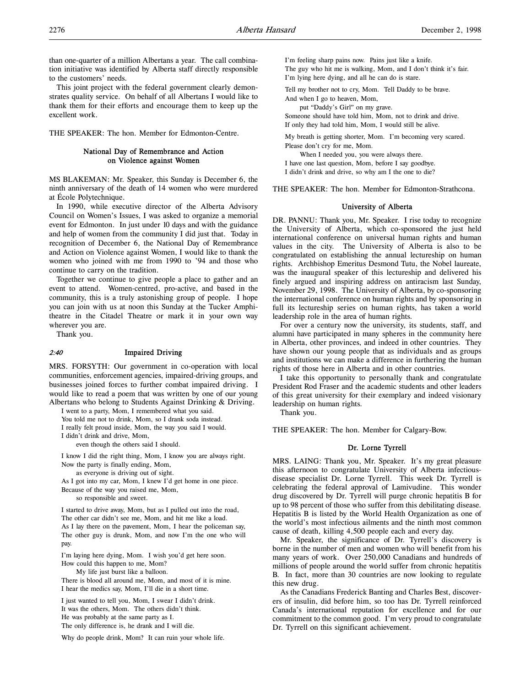than one-quarter of a million Albertans a year. The call combination initiative was identified by Alberta staff directly responsible to the customers' needs.

This joint project with the federal government clearly demonstrates quality service. On behalf of all Albertans I would like to thank them for their efforts and encourage them to keep up the excellent work.

THE SPEAKER: The hon. Member for Edmonton-Centre.

## National Day of Remembrance and Action on Violence against Women

MS BLAKEMAN: Mr. Speaker, this Sunday is December 6, the ninth anniversary of the death of 14 women who were murdered at École Polytechnique.

In 1990, while executive director of the Alberta Advisory Council on Women's Issues, I was asked to organize a memorial event for Edmonton. In just under 10 days and with the guidance and help of women from the community I did just that. Today in recognition of December 6, the National Day of Remembrance and Action on Violence against Women, I would like to thank the women who joined with me from 1990 to '94 and those who continue to carry on the tradition.

Together we continue to give people a place to gather and an event to attend. Women-centred, pro-active, and based in the community, this is a truly astonishing group of people. I hope you can join with us at noon this Sunday at the Tucker Amphitheatre in the Citadel Theatre or mark it in your own way wherever you are.

Thank you.

### 2:40 Impaired Driving

MRS. FORSYTH: Our government in co-operation with local communities, enforcement agencies, impaired-driving groups, and businesses joined forces to further combat impaired driving. I would like to read a poem that was written by one of our young Albertans who belong to Students Against Drinking & Driving.

I went to a party, Mom, I remembered what you said.

You told me not to drink, Mom, so I drank soda instead.

I really felt proud inside, Mom, the way you said I would.

I didn't drink and drive, Mom,

even though the others said I should.

I know I did the right thing, Mom, I know you are always right. Now the party is finally ending, Mom,

as everyone is driving out of sight.

As I got into my car, Mom, I knew I'd get home in one piece. Because of the way you raised me, Mom,

so responsible and sweet.

I started to drive away, Mom, but as I pulled out into the road, The other car didn't see me, Mom, and hit me like a load. As I lay there on the pavement, Mom, I hear the policeman say, The other guy is drunk, Mom, and now I'm the one who will pay.

I'm laying here dying, Mom. I wish you'd get here soon. How could this happen to me, Mom?

My life just burst like a balloon.

There is blood all around me, Mom, and most of it is mine. I hear the medics say, Mom, I'll die in a short time.

I just wanted to tell you, Mom, I swear I didn't drink. It was the others, Mom. The others didn't think. He was probably at the same party as I. The only difference is, he drank and I will die.

Why do people drink, Mom? It can ruin your whole life.

I'm feeling sharp pains now. Pains just like a knife. The guy who hit me is walking, Mom, and I don't think it's fair. I'm lying here dying, and all he can do is stare.

Tell my brother not to cry, Mom. Tell Daddy to be brave. And when I go to heaven, Mom,

put "Daddy's Girl" on my grave. Someone should have told him, Mom, not to drink and drive. If only they had told him, Mom, I would still be alive.

My breath is getting shorter, Mom. I'm becoming very scared. Please don't cry for me, Mom.

When I needed you, you were always there. I have one last question, Mom, before I say goodbye. I didn't drink and drive, so why am I the one to die?

THE SPEAKER: The hon. Member for Edmonton-Strathcona.

### University of Alberta

DR. PANNU: Thank you, Mr. Speaker. I rise today to recognize the University of Alberta, which co-sponsored the just held international conference on universal human rights and human values in the city. The University of Alberta is also to be congratulated on establishing the annual lectureship on human rights. Archbishop Emeritus Desmond Tutu, the Nobel laureate, was the inaugural speaker of this lectureship and delivered his finely argued and inspiring address on antiracism last Sunday, November 29, 1998. The University of Alberta, by co-sponsoring the international conference on human rights and by sponsoring in full its lectureship series on human rights, has taken a world leadership role in the area of human rights.

For over a century now the university, its students, staff, and alumni have participated in many spheres in the community here in Alberta, other provinces, and indeed in other countries. They have shown our young people that as individuals and as groups and institutions we can make a difference in furthering the human rights of those here in Alberta and in other countries.

I take this opportunity to personally thank and congratulate President Rod Fraser and the academic students and other leaders of this great university for their exemplary and indeed visionary leadership on human rights.

Thank you.

THE SPEAKER: The hon. Member for Calgary-Bow.

### Dr. Lorne Tyrrell

MRS. LAING: Thank you, Mr. Speaker. It's my great pleasure this afternoon to congratulate University of Alberta infectiousdisease specialist Dr. Lorne Tyrrell. This week Dr. Tyrrell is celebrating the federal approval of Lamivudine. This wonder drug discovered by Dr. Tyrrell will purge chronic hepatitis B for up to 98 percent of those who suffer from this debilitating disease. Hepatitis B is listed by the World Health Organization as one of the world's most infectious ailments and the ninth most common cause of death, killing 4,500 people each and every day.

Mr. Speaker, the significance of Dr. Tyrrell's discovery is borne in the number of men and women who will benefit from his many years of work. Over 250,000 Canadians and hundreds of millions of people around the world suffer from chronic hepatitis B. In fact, more than 30 countries are now looking to regulate this new drug.

As the Canadians Frederick Banting and Charles Best, discoverers of insulin, did before him, so too has Dr. Tyrrell reinforced Canada's international reputation for excellence and for our commitment to the common good. I'm very proud to congratulate Dr. Tyrrell on this significant achievement.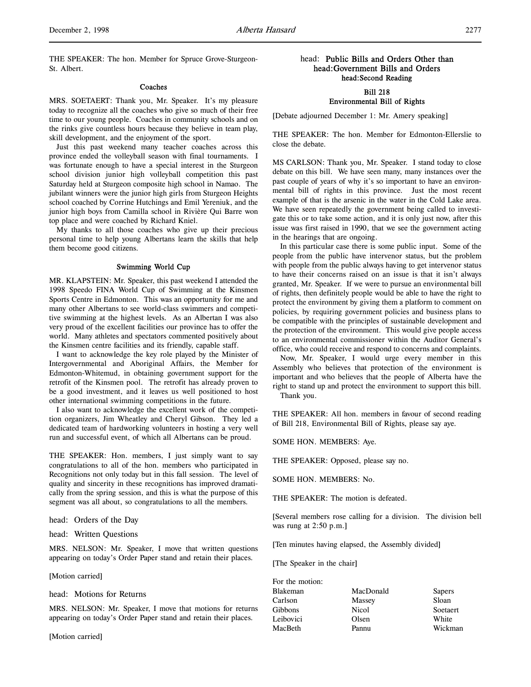### Coaches

MRS. SOETAERT: Thank you, Mr. Speaker. It's my pleasure today to recognize all the coaches who give so much of their free time to our young people. Coaches in community schools and on the rinks give countless hours because they believe in team play, skill development, and the enjoyment of the sport.

Just this past weekend many teacher coaches across this province ended the volleyball season with final tournaments. I was fortunate enough to have a special interest in the Sturgeon school division junior high volleyball competition this past Saturday held at Sturgeon composite high school in Namao. The jubilant winners were the junior high girls from Sturgeon Heights school coached by Corrine Hutchings and Emil Yereniuk, and the junior high boys from Camilla school in Rivière Qui Barre won top place and were coached by Richard Kniel.

My thanks to all those coaches who give up their precious personal time to help young Albertans learn the skills that help them become good citizens.

#### Swimming World Cup

MR. KLAPSTEIN: Mr. Speaker, this past weekend I attended the 1998 Speedo FINA World Cup of Swimming at the Kinsmen Sports Centre in Edmonton. This was an opportunity for me and many other Albertans to see world-class swimmers and competitive swimming at the highest levels. As an Albertan I was also very proud of the excellent facilities our province has to offer the world. Many athletes and spectators commented positively about the Kinsmen centre facilities and its friendly, capable staff.

I want to acknowledge the key role played by the Minister of Intergovernmental and Aboriginal Affairs, the Member for Edmonton-Whitemud, in obtaining government support for the retrofit of the Kinsmen pool. The retrofit has already proven to be a good investment, and it leaves us well positioned to host other international swimming competitions in the future.

I also want to acknowledge the excellent work of the competition organizers, Jim Wheatley and Cheryl Gibson. They led a dedicated team of hardworking volunteers in hosting a very well run and successful event, of which all Albertans can be proud.

THE SPEAKER: Hon. members, I just simply want to say congratulations to all of the hon. members who participated in Recognitions not only today but in this fall session. The level of quality and sincerity in these recognitions has improved dramatically from the spring session, and this is what the purpose of this segment was all about, so congratulations to all the members.

head: Orders of the Day

head: Written Questions

MRS. NELSON: Mr. Speaker, I move that written questions appearing on today's Order Paper stand and retain their places.

[Motion carried]

head: Motions for Returns

MRS. NELSON: Mr. Speaker, I move that motions for returns appearing on today's Order Paper stand and retain their places.

[Motion carried]

# head: Public Bills and Orders Other than head:Government Bills and Orders head:Second Reading

Bill 218 Environmental Bill of Rights

[Debate adjourned December 1: Mr. Amery speaking]

THE SPEAKER: The hon. Member for Edmonton-Ellerslie to close the debate.

MS CARLSON: Thank you, Mr. Speaker. I stand today to close debate on this bill. We have seen many, many instances over the past couple of years of why it's so important to have an environmental bill of rights in this province. Just the most recent example of that is the arsenic in the water in the Cold Lake area. We have seen repeatedly the government being called to investigate this or to take some action, and it is only just now, after this issue was first raised in 1990, that we see the government acting in the hearings that are ongoing.

In this particular case there is some public input. Some of the people from the public have intervenor status, but the problem with people from the public always having to get intervenor status to have their concerns raised on an issue is that it isn't always granted, Mr. Speaker. If we were to pursue an environmental bill of rights, then definitely people would be able to have the right to protect the environment by giving them a platform to comment on policies, by requiring government policies and business plans to be compatible with the principles of sustainable development and the protection of the environment. This would give people access to an environmental commissioner within the Auditor General's office, who could receive and respond to concerns and complaints.

Now, Mr. Speaker, I would urge every member in this Assembly who believes that protection of the environment is important and who believes that the people of Alberta have the right to stand up and protect the environment to support this bill. Thank you.

THE SPEAKER: All hon. members in favour of second reading of Bill 218, Environmental Bill of Rights, please say aye.

SOME HON. MEMBERS: Aye.

THE SPEAKER: Opposed, please say no.

SOME HON. MEMBERS: No.

THE SPEAKER: The motion is defeated.

[Several members rose calling for a division. The division bell was rung at 2:50 p.m.]

[Ten minutes having elapsed, the Assembly divided]

[The Speaker in the chair]

| For the motion: |           |          |
|-----------------|-----------|----------|
| Blakeman        | MacDonald | Sapers   |
| Carlson         | Massey    | Sloan    |
| Gibbons         | Nicol     | Soetaert |
| Leibovici       | Olsen     | White    |
| MacBeth         | Pannu     | Wickman  |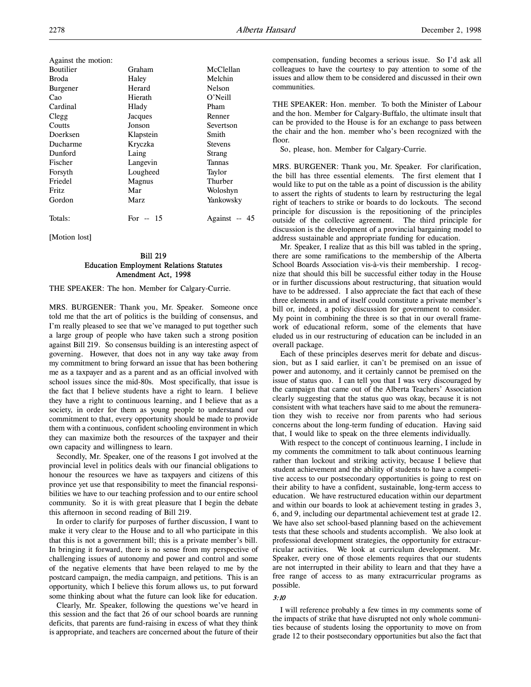| Against the motion: |           |                |
|---------------------|-----------|----------------|
| <b>Boutilier</b>    | Graham    | McClellan      |
| <b>Broda</b>        | Haley     | Melchin        |
| Burgener            | Herard    | <b>Nelson</b>  |
| Cao                 | Hierath   | O'Neill        |
| Cardinal            | Hlady     | Pham           |
| Clegg               | Jacques   | Renner         |
| Coutts              | Jonson    | Severtson      |
| Doerksen            | Klapstein | Smith          |
| Ducharme            | Kryczka   | <b>Stevens</b> |
| Dunford             | Laing     | Strang         |
| Fischer             | Langevin  | Tannas         |
| Forsyth             | Lougheed  | Taylor         |
| Friedel             | Magnus    | Thurber        |
| Fritz               | Mar       | Woloshyn       |
| Gordon              | Marz      | Yankowsky      |
| Totals:             | For $-15$ | Against -- 45  |

[Motion lost]

## Bill 219 Education Employment Relations Statutes Amendment Act, 1998

### THE SPEAKER: The hon. Member for Calgary-Currie.

MRS. BURGENER: Thank you, Mr. Speaker. Someone once told me that the art of politics is the building of consensus, and I'm really pleased to see that we've managed to put together such a large group of people who have taken such a strong position against Bill 219. So consensus building is an interesting aspect of governing. However, that does not in any way take away from my commitment to bring forward an issue that has been bothering me as a taxpayer and as a parent and as an official involved with school issues since the mid-80s. Most specifically, that issue is the fact that I believe students have a right to learn. I believe they have a right to continuous learning, and I believe that as a society, in order for them as young people to understand our commitment to that, every opportunity should be made to provide them with a continuous, confident schooling environment in which they can maximize both the resources of the taxpayer and their own capacity and willingness to learn.

Secondly, Mr. Speaker, one of the reasons I got involved at the provincial level in politics deals with our financial obligations to honour the resources we have as taxpayers and citizens of this province yet use that responsibility to meet the financial responsibilities we have to our teaching profession and to our entire school community. So it is with great pleasure that I begin the debate this afternoon in second reading of Bill 219.

In order to clarify for purposes of further discussion, I want to make it very clear to the House and to all who participate in this that this is not a government bill; this is a private member's bill. In bringing it forward, there is no sense from my perspective of challenging issues of autonomy and power and control and some of the negative elements that have been relayed to me by the postcard campaign, the media campaign, and petitions. This is an opportunity, which I believe this forum allows us, to put forward some thinking about what the future can look like for education.

Clearly, Mr. Speaker, following the questions we've heard in this session and the fact that 26 of our school boards are running deficits, that parents are fund-raising in excess of what they think is appropriate, and teachers are concerned about the future of their compensation, funding becomes a serious issue. So I'd ask all colleagues to have the courtesy to pay attention to some of the issues and allow them to be considered and discussed in their own communities.

THE SPEAKER: Hon. member. To both the Minister of Labour and the hon. Member for Calgary-Buffalo, the ultimate insult that can be provided to the House is for an exchange to pass between the chair and the hon. member who's been recognized with the floor.

So, please, hon. Member for Calgary-Currie.

MRS. BURGENER: Thank you, Mr. Speaker. For clarification, the bill has three essential elements. The first element that I would like to put on the table as a point of discussion is the ability to assert the rights of students to learn by restructuring the legal right of teachers to strike or boards to do lockouts. The second principle for discussion is the repositioning of the principles outside of the collective agreement. The third principle for discussion is the development of a provincial bargaining model to address sustainable and appropriate funding for education.

Mr. Speaker, I realize that as this bill was tabled in the spring, there are some ramifications to the membership of the Alberta School Boards Association vis-à-vis their membership. I recognize that should this bill be successful either today in the House or in further discussions about restructuring, that situation would have to be addressed. I also appreciate the fact that each of these three elements in and of itself could constitute a private member's bill or, indeed, a policy discussion for government to consider. My point in combining the three is so that in our overall framework of educational reform, some of the elements that have eluded us in our restructuring of education can be included in an overall package.

Each of these principles deserves merit for debate and discussion, but as I said earlier, it can't be premised on an issue of power and autonomy, and it certainly cannot be premised on the issue of status quo. I can tell you that I was very discouraged by the campaign that came out of the Alberta Teachers' Association clearly suggesting that the status quo was okay, because it is not consistent with what teachers have said to me about the remuneration they wish to receive nor from parents who had serious concerns about the long-term funding of education. Having said that, I would like to speak on the three elements individually.

With respect to the concept of continuous learning, I include in my comments the commitment to talk about continuous learning rather than lockout and striking activity, because I believe that student achievement and the ability of students to have a competitive access to our postsecondary opportunities is going to rest on their ability to have a confident, sustainable, long-term access to education. We have restructured education within our department and within our boards to look at achievement testing in grades 3, 6, and 9, including our departmental achievement test at grade 12. We have also set school-based planning based on the achievement tests that these schools and students accomplish. We also look at professional development strategies, the opportunity for extracurricular activities. We look at curriculum development. Mr. Speaker, every one of those elements requires that our students are not interrupted in their ability to learn and that they have a free range of access to as many extracurricular programs as possible.

#### 3:10

I will reference probably a few times in my comments some of the impacts of strike that have disrupted not only whole communities because of students losing the opportunity to move on from grade 12 to their postsecondary opportunities but also the fact that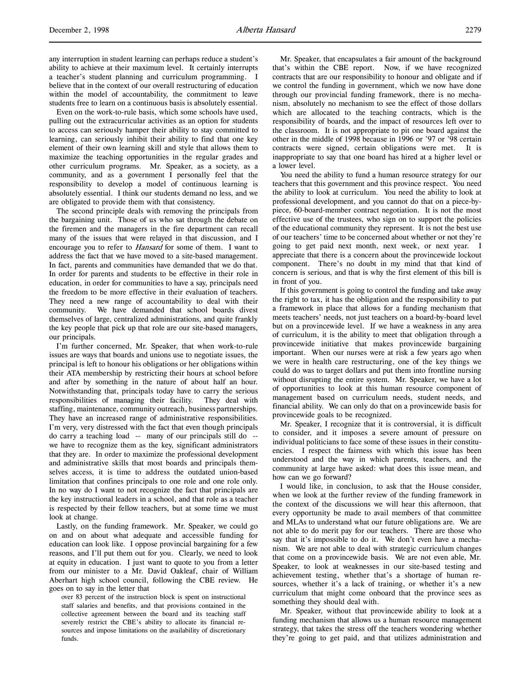any interruption in student learning can perhaps reduce a student's ability to achieve at their maximum level. It certainly interrupts a teacher's student planning and curriculum programming. I believe that in the context of our overall restructuring of education within the model of accountability, the commitment to leave students free to learn on a continuous basis is absolutely essential.

Even on the work-to-rule basis, which some schools have used, pulling out the extracurricular activities as an option for students to access can seriously hamper their ability to stay committed to learning, can seriously inhibit their ability to find that one key element of their own learning skill and style that allows them to maximize the teaching opportunities in the regular grades and other curriculum programs. Mr. Speaker, as a society, as a community, and as a government I personally feel that the responsibility to develop a model of continuous learning is absolutely essential. I think our students demand no less, and we are obligated to provide them with that consistency.

The second principle deals with removing the principals from the bargaining unit. Those of us who sat through the debate on the firemen and the managers in the fire department can recall many of the issues that were relayed in that discussion, and I encourage you to refer to *Hansard* for some of them. I want to address the fact that we have moved to a site-based management. In fact, parents and communities have demanded that we do that. In order for parents and students to be effective in their role in education, in order for communities to have a say, principals need the freedom to be more effective in their evaluation of teachers. They need a new range of accountability to deal with their community. We have demanded that school boards divest themselves of large, centralized administrations, and quite frankly the key people that pick up that role are our site-based managers, our principals.

I'm further concerned, Mr. Speaker, that when work-to-rule issues are ways that boards and unions use to negotiate issues, the principal is left to honour his obligations or her obligations within their ATA membership by restricting their hours at school before and after by something in the nature of about half an hour. Notwithstanding that, principals today have to carry the serious responsibilities of managing their facility. They deal with staffing, maintenance, community outreach, business partnerships. They have an increased range of administrative responsibilities. I'm very, very distressed with the fact that even though principals do carry a teaching load -- many of our principals still do - we have to recognize them as the key, significant administrators that they are. In order to maximize the professional development and administrative skills that most boards and principals themselves access, it is time to address the outdated union-based limitation that confines principals to one role and one role only. In no way do I want to not recognize the fact that principals are the key instructional leaders in a school, and that role as a teacher is respected by their fellow teachers, but at some time we must look at change.

Lastly, on the funding framework. Mr. Speaker, we could go on and on about what adequate and accessible funding for education can look like. I oppose provincial bargaining for a few reasons, and I'll put them out for you. Clearly, we need to look at equity in education. I just want to quote to you from a letter from our minister to a Mr. David Oakleaf, chair of William Aberhart high school council, following the CBE review. He goes on to say in the letter that

over 83 percent of the instruction block is spent on instructional staff salaries and benefits, and that provisions contained in the collective agreement between the board and its teaching staff severely restrict the CBE's ability to allocate its financial resources and impose limitations on the availability of discretionary funds.

Mr. Speaker, that encapsulates a fair amount of the background that's within the CBE report. Now, if we have recognized contracts that are our responsibility to honour and obligate and if we control the funding in government, which we now have done through our provincial funding framework, there is no mechanism, absolutely no mechanism to see the effect of those dollars which are allocated to the teaching contracts, which is the responsibility of boards, and the impact of resources left over to the classroom. It is not appropriate to pit one board against the other in the middle of 1998 because in 1996 or '97 or '98 certain contracts were signed, certain obligations were met. It is inappropriate to say that one board has hired at a higher level or a lower level.

You need the ability to fund a human resource strategy for our teachers that this government and this province respect. You need the ability to look at curriculum. You need the ability to look at professional development, and you cannot do that on a piece-bypiece, 60-board-member contract negotiation. It is not the most effective use of the trustees, who sign on to support the policies of the educational community they represent. It is not the best use of our teachers' time to be concerned about whether or not they're going to get paid next month, next week, or next year. I appreciate that there is a concern about the provincewide lockout component. There's no doubt in my mind that that kind of concern is serious, and that is why the first element of this bill is in front of you.

If this government is going to control the funding and take away the right to tax, it has the obligation and the responsibility to put a framework in place that allows for a funding mechanism that meets teachers' needs, not just teachers on a board-by-board level but on a provincewide level. If we have a weakness in any area of curriculum, it is the ability to meet that obligation through a provincewide initiative that makes provincewide bargaining important. When our nurses were at risk a few years ago when we were in health care restructuring, one of the key things we could do was to target dollars and put them into frontline nursing without disrupting the entire system. Mr. Speaker, we have a lot of opportunities to look at this human resource component of management based on curriculum needs, student needs, and financial ability. We can only do that on a provincewide basis for provincewide goals to be recognized.

Mr. Speaker, I recognize that it is controversial, it is difficult to consider, and it imposes a severe amount of pressure on individual politicians to face some of these issues in their constituencies. I respect the fairness with which this issue has been understood and the way in which parents, teachers, and the community at large have asked: what does this issue mean, and how can we go forward?

I would like, in conclusion, to ask that the House consider, when we look at the further review of the funding framework in the context of the discussions we will hear this afternoon, that every opportunity be made to avail members of that committee and MLAs to understand what our future obligations are. We are not able to do merit pay for our teachers. There are those who say that it's impossible to do it. We don't even have a mechanism. We are not able to deal with strategic curriculum changes that come on a provincewide basis. We are not even able, Mr. Speaker, to look at weaknesses in our site-based testing and achievement testing, whether that's a shortage of human resources, whether it's a lack of training, or whether it's a new curriculum that might come onboard that the province sees as something they should deal with.

Mr. Speaker, without that provincewide ability to look at a funding mechanism that allows us a human resource management strategy, that takes the stress off the teachers wondering whether they're going to get paid, and that utilizes administration and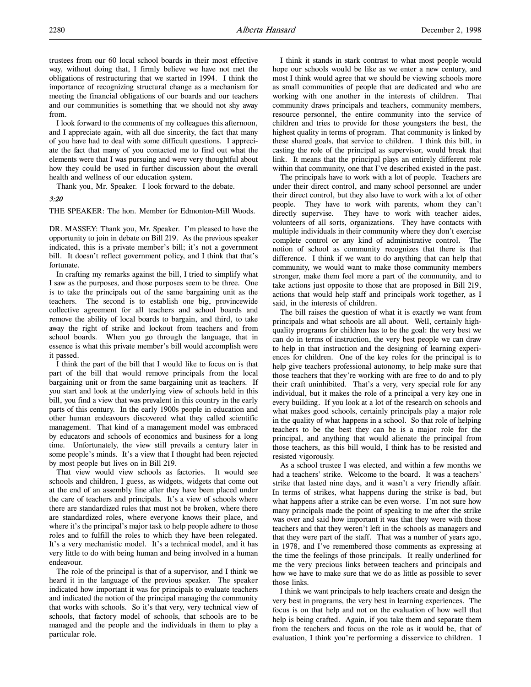trustees from our 60 local school boards in their most effective way, without doing that, I firmly believe we have not met the obligations of restructuring that we started in 1994. I think the importance of recognizing structural change as a mechanism for meeting the financial obligations of our boards and our teachers and our communities is something that we should not shy away from.

I look forward to the comments of my colleagues this afternoon, and I appreciate again, with all due sincerity, the fact that many of you have had to deal with some difficult questions. I appreciate the fact that many of you contacted me to find out what the elements were that I was pursuing and were very thoughtful about how they could be used in further discussion about the overall health and wellness of our education system.

Thank you, Mr. Speaker. I look forward to the debate.

3:20

THE SPEAKER: The hon. Member for Edmonton-Mill Woods.

DR. MASSEY: Thank you, Mr. Speaker. I'm pleased to have the opportunity to join in debate on Bill 219. As the previous speaker indicated, this is a private member's bill; it's not a government bill. It doesn't reflect government policy, and I think that that's fortunate.

In crafting my remarks against the bill, I tried to simplify what I saw as the purposes, and those purposes seem to be three. One is to take the principals out of the same bargaining unit as the teachers. The second is to establish one big, provincewide collective agreement for all teachers and school boards and remove the ability of local boards to bargain, and third, to take away the right of strike and lockout from teachers and from school boards. When you go through the language, that in essence is what this private member's bill would accomplish were it passed.

I think the part of the bill that I would like to focus on is that part of the bill that would remove principals from the local bargaining unit or from the same bargaining unit as teachers. If you start and look at the underlying view of schools held in this bill, you find a view that was prevalent in this country in the early parts of this century. In the early 1900s people in education and other human endeavours discovered what they called scientific management. That kind of a management model was embraced by educators and schools of economics and business for a long time. Unfortunately, the view still prevails a century later in some people's minds. It's a view that I thought had been rejected by most people but lives on in Bill 219.

That view would view schools as factories. It would see schools and children, I guess, as widgets, widgets that come out at the end of an assembly line after they have been placed under the care of teachers and principals. It's a view of schools where there are standardized rules that must not be broken, where there are standardized roles, where everyone knows their place, and where it's the principal's major task to help people adhere to those roles and to fulfill the roles to which they have been relegated. It's a very mechanistic model. It's a technical model, and it has very little to do with being human and being involved in a human endeavour.

The role of the principal is that of a supervisor, and I think we heard it in the language of the previous speaker. The speaker indicated how important it was for principals to evaluate teachers and indicated the notion of the principal managing the community that works with schools. So it's that very, very technical view of schools, that factory model of schools, that schools are to be managed and the people and the individuals in them to play a particular role.

I think it stands in stark contrast to what most people would hope our schools would be like as we enter a new century, and most I think would agree that we should be viewing schools more as small communities of people that are dedicated and who are working with one another in the interests of children. That community draws principals and teachers, community members, resource personnel, the entire community into the service of children and tries to provide for those youngsters the best, the highest quality in terms of program. That community is linked by these shared goals, that service to children. I think this bill, in casting the role of the principal as supervisor, would break that link. It means that the principal plays an entirely different role within that community, one that I've described existed in the past.

The principals have to work with a lot of people. Teachers are under their direct control, and many school personnel are under their direct control, but they also have to work with a lot of other people. They have to work with parents, whom they can't directly supervise. They have to work with teacher aides, volunteers of all sorts, organizations. They have contacts with multiple individuals in their community where they don't exercise complete control or any kind of administrative control. The notion of school as community recognizes that there is that difference. I think if we want to do anything that can help that community, we would want to make those community members stronger, make them feel more a part of the community, and to take actions just opposite to those that are proposed in Bill 219, actions that would help staff and principals work together, as I said, in the interests of children.

The bill raises the question of what it is exactly we want from principals and what schools are all about. Well, certainly highquality programs for children has to be the goal: the very best we can do in terms of instruction, the very best people we can draw to help in that instruction and the designing of learning experiences for children. One of the key roles for the principal is to help give teachers professional autonomy, to help make sure that those teachers that they're working with are free to do and to ply their craft uninhibited. That's a very, very special role for any individual, but it makes the role of a principal a very key one in every building. If you look at a lot of the research on schools and what makes good schools, certainly principals play a major role in the quality of what happens in a school. So that role of helping teachers to be the best they can be is a major role for the principal, and anything that would alienate the principal from those teachers, as this bill would, I think has to be resisted and resisted vigorously.

As a school trustee I was elected, and within a few months we had a teachers' strike. Welcome to the board. It was a teachers' strike that lasted nine days, and it wasn't a very friendly affair. In terms of strikes, what happens during the strike is bad, but what happens after a strike can be even worse. I'm not sure how many principals made the point of speaking to me after the strike was over and said how important it was that they were with those teachers and that they weren't left in the schools as managers and that they were part of the staff. That was a number of years ago, in 1978, and I've remembered those comments as expressing at the time the feelings of those principals. It really underlined for me the very precious links between teachers and principals and how we have to make sure that we do as little as possible to sever those links.

I think we want principals to help teachers create and design the very best in programs, the very best in learning experiences. The focus is on that help and not on the evaluation of how well that help is being crafted. Again, if you take them and separate them from the teachers and focus on the role as it would be, that of evaluation, I think you're performing a disservice to children. I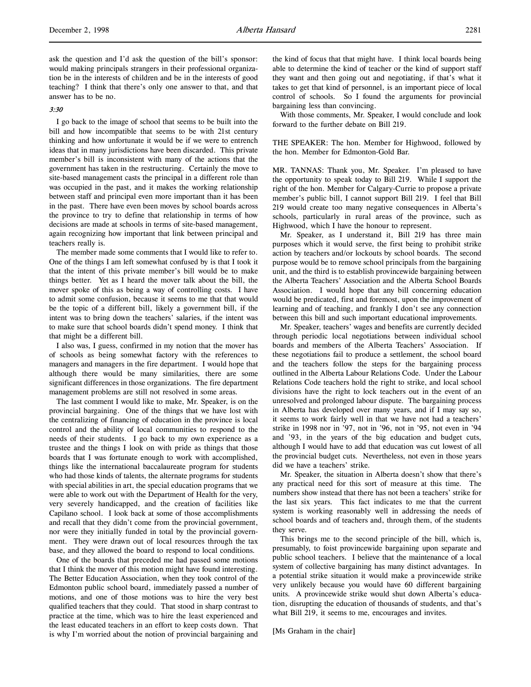ask the question and I'd ask the question of the bill's sponsor: would making principals strangers in their professional organization be in the interests of children and be in the interests of good teaching? I think that there's only one answer to that, and that answer has to be no.

## 3:30

I go back to the image of school that seems to be built into the bill and how incompatible that seems to be with 21st century thinking and how unfortunate it would be if we were to entrench ideas that in many jurisdictions have been discarded. This private member's bill is inconsistent with many of the actions that the government has taken in the restructuring. Certainly the move to site-based management casts the principal in a different role than was occupied in the past, and it makes the working relationship between staff and principal even more important than it has been in the past. There have even been moves by school boards across the province to try to define that relationship in terms of how decisions are made at schools in terms of site-based management, again recognizing how important that link between principal and teachers really is.

The member made some comments that I would like to refer to. One of the things I am left somewhat confused by is that I took it that the intent of this private member's bill would be to make things better. Yet as I heard the mover talk about the bill, the mover spoke of this as being a way of controlling costs. I have to admit some confusion, because it seems to me that that would be the topic of a different bill, likely a government bill, if the intent was to bring down the teachers' salaries, if the intent was to make sure that school boards didn't spend money. I think that that might be a different bill.

I also was, I guess, confirmed in my notion that the mover has of schools as being somewhat factory with the references to managers and managers in the fire department. I would hope that although there would be many similarities, there are some significant differences in those organizations. The fire department management problems are still not resolved in some areas.

The last comment I would like to make, Mr. Speaker, is on the provincial bargaining. One of the things that we have lost with the centralizing of financing of education in the province is local control and the ability of local communities to respond to the needs of their students. I go back to my own experience as a trustee and the things I look on with pride as things that those boards that I was fortunate enough to work with accomplished, things like the international baccalaureate program for students who had those kinds of talents, the alternate programs for students with special abilities in art, the special education programs that we were able to work out with the Department of Health for the very, very severely handicapped, and the creation of facilities like Capilano school. I look back at some of those accomplishments and recall that they didn't come from the provincial government, nor were they initially funded in total by the provincial government. They were drawn out of local resources through the tax base, and they allowed the board to respond to local conditions.

One of the boards that preceded me had passed some motions that I think the mover of this motion might have found interesting. The Better Education Association, when they took control of the Edmonton public school board, immediately passed a number of motions, and one of those motions was to hire the very best qualified teachers that they could. That stood in sharp contrast to practice at the time, which was to hire the least experienced and the least educated teachers in an effort to keep costs down. That is why I'm worried about the notion of provincial bargaining and

the kind of focus that that might have. I think local boards being able to determine the kind of teacher or the kind of support staff they want and then going out and negotiating, if that's what it takes to get that kind of personnel, is an important piece of local control of schools. So I found the arguments for provincial bargaining less than convincing.

With those comments, Mr. Speaker, I would conclude and look forward to the further debate on Bill 219.

THE SPEAKER: The hon. Member for Highwood, followed by the hon. Member for Edmonton-Gold Bar.

MR. TANNAS: Thank you, Mr. Speaker. I'm pleased to have the opportunity to speak today to Bill 219. While I support the right of the hon. Member for Calgary-Currie to propose a private member's public bill, I cannot support Bill 219. I feel that Bill 219 would create too many negative consequences in Alberta's schools, particularly in rural areas of the province, such as Highwood, which I have the honour to represent.

Mr. Speaker, as I understand it, Bill 219 has three main purposes which it would serve, the first being to prohibit strike action by teachers and/or lockouts by school boards. The second purpose would be to remove school principals from the bargaining unit, and the third is to establish provincewide bargaining between the Alberta Teachers' Association and the Alberta School Boards Association. I would hope that any bill concerning education would be predicated, first and foremost, upon the improvement of learning and of teaching, and frankly I don't see any connection between this bill and such important educational improvements.

Mr. Speaker, teachers' wages and benefits are currently decided through periodic local negotiations between individual school boards and members of the Alberta Teachers' Association. If these negotiations fail to produce a settlement, the school board and the teachers follow the steps for the bargaining process outlined in the Alberta Labour Relations Code. Under the Labour Relations Code teachers hold the right to strike, and local school divisions have the right to lock teachers out in the event of an unresolved and prolonged labour dispute. The bargaining process in Alberta has developed over many years, and if I may say so, it seems to work fairly well in that we have not had a teachers' strike in 1998 nor in '97, not in '96, not in '95, not even in '94 and '93, in the years of the big education and budget cuts, although I would have to add that education was cut lowest of all the provincial budget cuts. Nevertheless, not even in those years did we have a teachers' strike.

Mr. Speaker, the situation in Alberta doesn't show that there's any practical need for this sort of measure at this time. The numbers show instead that there has not been a teachers' strike for the last six years. This fact indicates to me that the current system is working reasonably well in addressing the needs of school boards and of teachers and, through them, of the students they serve.

This brings me to the second principle of the bill, which is, presumably, to foist provincewide bargaining upon separate and public school teachers. I believe that the maintenance of a local system of collective bargaining has many distinct advantages. In a potential strike situation it would make a provincewide strike very unlikely because you would have 60 different bargaining units. A provincewide strike would shut down Alberta's education, disrupting the education of thousands of students, and that's what Bill 219, it seems to me, encourages and invites.

[Ms Graham in the chair]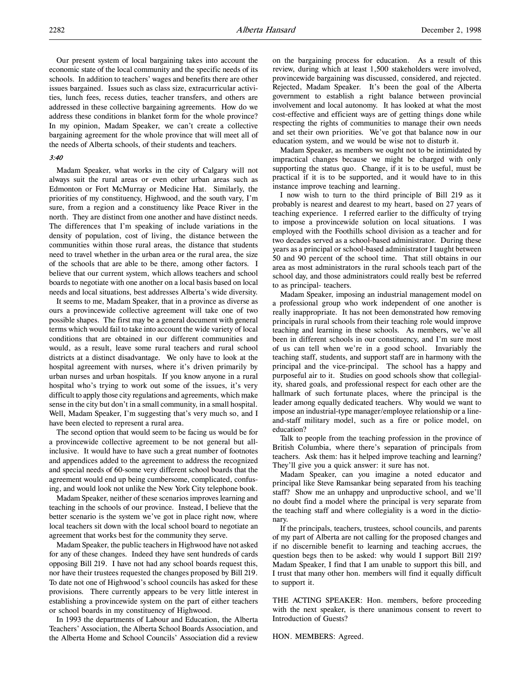Our present system of local bargaining takes into account the economic state of the local community and the specific needs of its schools. In addition to teachers' wages and benefits there are other issues bargained. Issues such as class size, extracurricular activities, lunch fees, recess duties, teacher transfers, and others are addressed in these collective bargaining agreements. How do we address these conditions in blanket form for the whole province? In my opinion, Madam Speaker, we can't create a collective bargaining agreement for the whole province that will meet all of the needs of Alberta schools, of their students and teachers.

## 3:40

Madam Speaker, what works in the city of Calgary will not always suit the rural areas or even other urban areas such as Edmonton or Fort McMurray or Medicine Hat. Similarly, the priorities of my constituency, Highwood, and the south vary, I'm sure, from a region and a constituency like Peace River in the north. They are distinct from one another and have distinct needs. The differences that I'm speaking of include variations in the density of population, cost of living, the distance between the communities within those rural areas, the distance that students need to travel whether in the urban area or the rural area, the size of the schools that are able to be there, among other factors. I believe that our current system, which allows teachers and school boards to negotiate with one another on a local basis based on local needs and local situations, best addresses Alberta's wide diversity.

It seems to me, Madam Speaker, that in a province as diverse as ours a provincewide collective agreement will take one of two possible shapes. The first may be a general document with general terms which would fail to take into account the wide variety of local conditions that are obtained in our different communities and would, as a result, leave some rural teachers and rural school districts at a distinct disadvantage. We only have to look at the hospital agreement with nurses, where it's driven primarily by urban nurses and urban hospitals. If you know anyone in a rural hospital who's trying to work out some of the issues, it's very difficult to apply those city regulations and agreements, which make sense in the city but don't in a small community, in a small hospital. Well, Madam Speaker, I'm suggesting that's very much so, and I have been elected to represent a rural area.

The second option that would seem to be facing us would be for a provincewide collective agreement to be not general but allinclusive. It would have to have such a great number of footnotes and appendices added to the agreement to address the recognized and special needs of 60-some very different school boards that the agreement would end up being cumbersome, complicated, confusing, and would look not unlike the New York City telephone book.

Madam Speaker, neither of these scenarios improves learning and teaching in the schools of our province. Instead, I believe that the better scenario is the system we've got in place right now, where local teachers sit down with the local school board to negotiate an agreement that works best for the community they serve.

Madam Speaker, the public teachers in Highwood have not asked for any of these changes. Indeed they have sent hundreds of cards opposing Bill 219. I have not had any school boards request this, nor have their trustees requested the changes proposed by Bill 219. To date not one of Highwood's school councils has asked for these provisions. There currently appears to be very little interest in establishing a provincewide system on the part of either teachers or school boards in my constituency of Highwood.

In 1993 the departments of Labour and Education, the Alberta Teachers' Association, the Alberta School Boards Association, and the Alberta Home and School Councils' Association did a review

on the bargaining process for education. As a result of this review, during which at least 1,500 stakeholders were involved, provincewide bargaining was discussed, considered, and rejected. Rejected, Madam Speaker. It's been the goal of the Alberta government to establish a right balance between provincial involvement and local autonomy. It has looked at what the most cost-effective and efficient ways are of getting things done while respecting the rights of communities to manage their own needs and set their own priorities. We've got that balance now in our education system, and we would be wise not to disturb it.

Madam Speaker, as members we ought not to be intimidated by impractical changes because we might be charged with only supporting the status quo. Change, if it is to be useful, must be practical if it is to be supported, and it would have to in this instance improve teaching and learning.

I now wish to turn to the third principle of Bill 219 as it probably is nearest and dearest to my heart, based on 27 years of teaching experience. I referred earlier to the difficulty of trying to impose a provincewide solution on local situations. I was employed with the Foothills school division as a teacher and for two decades served as a school-based administrator. During these years as a principal or school-based administrator I taught between 50 and 90 percent of the school time. That still obtains in our area as most administrators in the rural schools teach part of the school day, and those administrators could really best be referred to as principal- teachers.

Madam Speaker, imposing an industrial management model on a professional group who work independent of one another is really inappropriate. It has not been demonstrated how removing principals in rural schools from their teaching role would improve teaching and learning in these schools. As members, we've all been in different schools in our constituency, and I'm sure most of us can tell when we're in a good school. Invariably the teaching staff, students, and support staff are in harmony with the principal and the vice-principal. The school has a happy and purposeful air to it. Studies on good schools show that collegiality, shared goals, and professional respect for each other are the hallmark of such fortunate places, where the principal is the leader among equally dedicated teachers. Why would we want to impose an industrial-type manager/employee relationship or a lineand-staff military model, such as a fire or police model, on education?

Talk to people from the teaching profession in the province of British Columbia, where there's separation of principals from teachers. Ask them: has it helped improve teaching and learning? They'll give you a quick answer: it sure has not.

Madam Speaker, can you imagine a noted educator and principal like Steve Ramsankar being separated from his teaching staff? Show me an unhappy and unproductive school, and we'll no doubt find a model where the principal is very separate from the teaching staff and where collegiality is a word in the dictionary.

If the principals, teachers, trustees, school councils, and parents of my part of Alberta are not calling for the proposed changes and if no discernible benefit to learning and teaching accrues, the question begs then to be asked: why would I support Bill 219? Madam Speaker, I find that I am unable to support this bill, and I trust that many other hon. members will find it equally difficult to support it.

THE ACTING SPEAKER: Hon. members, before proceeding with the next speaker, is there unanimous consent to revert to Introduction of Guests?

HON. MEMBERS: Agreed.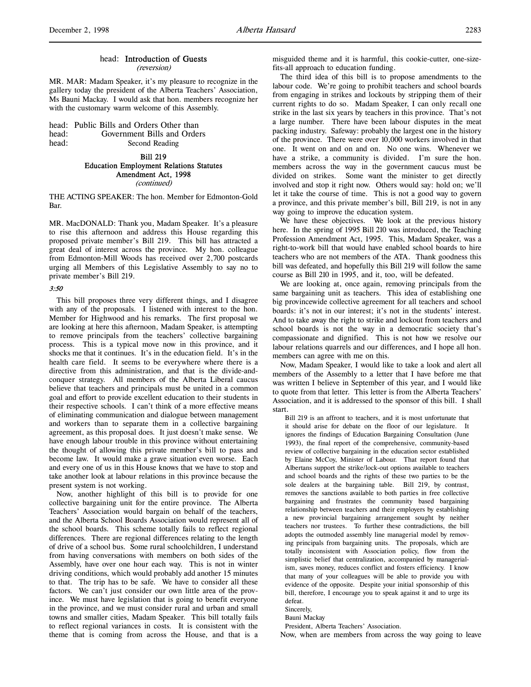## head: Introduction of Guests

(reversion)

MR. MAR: Madam Speaker, it's my pleasure to recognize in the gallery today the president of the Alberta Teachers' Association, Ms Bauni Mackay. I would ask that hon. members recognize her with the customary warm welcome of this Assembly.

head: Public Bills and Orders Other than head: Government Bills and Orders head: Second Reading

> Bill 219 Education Employment Relations Statutes Amendment Act, 1998 (continued)

THE ACTING SPEAKER: The hon. Member for Edmonton-Gold Bar.

MR. MacDONALD: Thank you, Madam Speaker. It's a pleasure to rise this afternoon and address this House regarding this proposed private member's Bill 219. This bill has attracted a great deal of interest across the province. My hon. colleague from Edmonton-Mill Woods has received over 2,700 postcards urging all Members of this Legislative Assembly to say no to private member's Bill 219.

#### 3:50

This bill proposes three very different things, and I disagree with any of the proposals. I listened with interest to the hon. Member for Highwood and his remarks. The first proposal we are looking at here this afternoon, Madam Speaker, is attempting to remove principals from the teachers' collective bargaining process. This is a typical move now in this province, and it shocks me that it continues. It's in the education field. It's in the health care field. It seems to be everywhere where there is a directive from this administration, and that is the divide-andconquer strategy. All members of the Alberta Liberal caucus believe that teachers and principals must be united in a common goal and effort to provide excellent education to their students in their respective schools. I can't think of a more effective means of eliminating communication and dialogue between management and workers than to separate them in a collective bargaining agreement, as this proposal does. It just doesn't make sense. We have enough labour trouble in this province without entertaining the thought of allowing this private member's bill to pass and become law. It would make a grave situation even worse. Each and every one of us in this House knows that we have to stop and take another look at labour relations in this province because the present system is not working.

Now, another highlight of this bill is to provide for one collective bargaining unit for the entire province. The Alberta Teachers' Association would bargain on behalf of the teachers, and the Alberta School Boards Association would represent all of the school boards. This scheme totally fails to reflect regional differences. There are regional differences relating to the length of drive of a school bus. Some rural schoolchildren, I understand from having conversations with members on both sides of the Assembly, have over one hour each way. This is not in winter driving conditions, which would probably add another 15 minutes to that. The trip has to be safe. We have to consider all these factors. We can't just consider our own little area of the province. We must have legislation that is going to benefit everyone in the province, and we must consider rural and urban and small towns and smaller cities, Madam Speaker. This bill totally fails to reflect regional variances in costs. It is consistent with the theme that is coming from across the House, and that is a

misguided theme and it is harmful, this cookie-cutter, one-sizefits-all approach to education funding.

The third idea of this bill is to propose amendments to the labour code. We're going to prohibit teachers and school boards from engaging in strikes and lockouts by stripping them of their current rights to do so. Madam Speaker, I can only recall one strike in the last six years by teachers in this province. That's not a large number. There have been labour disputes in the meat packing industry. Safeway: probably the largest one in the history of the province. There were over 10,000 workers involved in that one. It went on and on and on. No one wins. Whenever we have a strike, a community is divided. I'm sure the hon. members across the way in the government caucus must be divided on strikes. Some want the minister to get directly involved and stop it right now. Others would say: hold on; we'll let it take the course of time. This is not a good way to govern a province, and this private member's bill, Bill 219, is not in any way going to improve the education system.

We have these objectives. We look at the previous history here. In the spring of 1995 Bill 210 was introduced, the Teaching Profession Amendment Act, 1995. This, Madam Speaker, was a right-to-work bill that would have enabled school boards to hire teachers who are not members of the ATA. Thank goodness this bill was defeated, and hopefully this Bill 219 will follow the same course as Bill 210 in 1995, and it, too, will be defeated.

We are looking at, once again, removing principals from the same bargaining unit as teachers. This idea of establishing one big provincewide collective agreement for all teachers and school boards: it's not in our interest; it's not in the students' interest. And to take away the right to strike and lockout from teachers and school boards is not the way in a democratic society that's compassionate and dignified. This is not how we resolve our labour relations quarrels and our differences, and I hope all hon. members can agree with me on this.

Now, Madam Speaker, I would like to take a look and alert all members of the Assembly to a letter that I have before me that was written I believe in September of this year, and I would like to quote from that letter. This letter is from the Alberta Teachers' Association, and it is addressed to the sponsor of this bill. I shall start.

Bill 219 is an affront to teachers, and it is most unfortunate that it should arise for debate on the floor of our legislature. It ignores the findings of Education Bargaining Consultation (June 1993), the final report of the comprehensive, community-based review of collective bargaining in the education sector established by Elaine McCoy, Minister of Labour. That report found that Albertans support the strike/lock-out options available to teachers and school boards and the rights of these two parties to be the sole dealers at the bargaining table. Bill 219, by contrast, removes the sanctions available to both parties in free collective bargaining and frustrates the community based bargaining relationship between teachers and their employers by establishing a new provincial bargaining arrangement sought by neither teachers nor trustees. To further these contradictions, the bill adopts the outmoded assembly line managerial model by removing principals from bargaining units. The proposals, which are totally inconsistent with Association policy, flow from the simplistic belief that centralization, accompanied by managerialism, saves money, reduces conflict and fosters efficiency. I know that many of your colleagues will be able to provide you with evidence of the opposite. Despite your initial sponsorship of this bill, therefore, I encourage you to speak against it and to urge its defeat.

Sincerely,

Bauni Mackay

President, Alberta Teachers' Association.

Now, when are members from across the way going to leave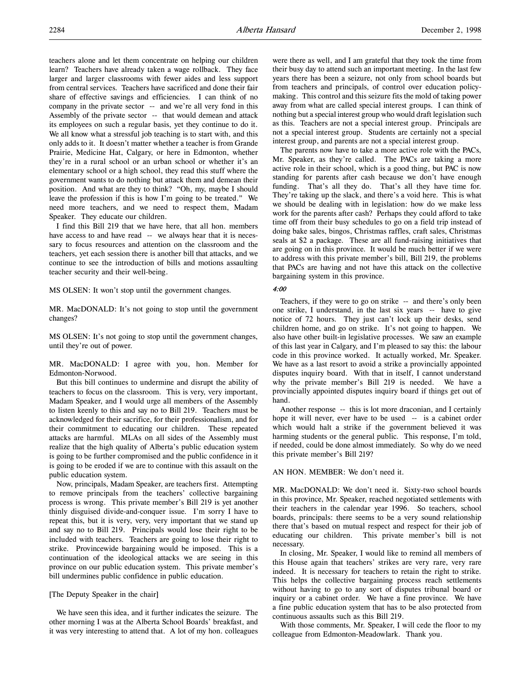teachers alone and let them concentrate on helping our children learn? Teachers have already taken a wage rollback. They face larger and larger classrooms with fewer aides and less support from central services. Teachers have sacrificed and done their fair share of effective savings and efficiencies. I can think of no company in the private sector -- and we're all very fond in this Assembly of the private sector -- that would demean and attack its employees on such a regular basis, yet they continue to do it. We all know what a stressful job teaching is to start with, and this only adds to it. It doesn't matter whether a teacher is from Grande Prairie, Medicine Hat, Calgary, or here in Edmonton, whether they're in a rural school or an urban school or whether it's an elementary school or a high school, they read this stuff where the government wants to do nothing but attack them and demean their position. And what are they to think? "Oh, my, maybe I should leave the profession if this is how I'm going to be treated." We need more teachers, and we need to respect them, Madam Speaker. They educate our children.

I find this Bill 219 that we have here, that all hon. members have access to and have read -- we always hear that it is necessary to focus resources and attention on the classroom and the teachers, yet each session there is another bill that attacks, and we continue to see the introduction of bills and motions assaulting teacher security and their well-being.

MS OLSEN: It won't stop until the government changes.

MR. MacDONALD: It's not going to stop until the government changes?

MS OLSEN: It's not going to stop until the government changes, until they're out of power.

MR. MacDONALD: I agree with you, hon. Member for Edmonton-Norwood.

But this bill continues to undermine and disrupt the ability of teachers to focus on the classroom. This is very, very important, Madam Speaker, and I would urge all members of the Assembly to listen keenly to this and say no to Bill 219. Teachers must be acknowledged for their sacrifice, for their professionalism, and for their commitment to educating our children. These repeated attacks are harmful. MLAs on all sides of the Assembly must realize that the high quality of Alberta's public education system is going to be further compromised and the public confidence in it is going to be eroded if we are to continue with this assault on the public education system.

Now, principals, Madam Speaker, are teachers first. Attempting to remove principals from the teachers' collective bargaining process is wrong. This private member's Bill 219 is yet another thinly disguised divide-and-conquer issue. I'm sorry I have to repeat this, but it is very, very, very important that we stand up and say no to Bill 219. Principals would lose their right to be included with teachers. Teachers are going to lose their right to strike. Provincewide bargaining would be imposed. This is a continuation of the ideological attacks we are seeing in this province on our public education system. This private member's bill undermines public confidence in public education.

### [The Deputy Speaker in the chair]

We have seen this idea, and it further indicates the seizure. The other morning I was at the Alberta School Boards' breakfast, and it was very interesting to attend that. A lot of my hon. colleagues were there as well, and I am grateful that they took the time from their busy day to attend such an important meeting. In the last few years there has been a seizure, not only from school boards but from teachers and principals, of control over education policymaking. This control and this seizure fits the mold of taking power away from what are called special interest groups. I can think of nothing but a special interest group who would draft legislation such as this. Teachers are not a special interest group. Principals are not a special interest group. Students are certainly not a special interest group, and parents are not a special interest group.

The parents now have to take a more active role with the PACs, Mr. Speaker, as they're called. The PACs are taking a more active role in their school, which is a good thing, but PAC is now standing for parents after cash because we don't have enough funding. That's all they do. That's all they have time for. They're taking up the slack, and there's a void here. This is what we should be dealing with in legislation: how do we make less work for the parents after cash? Perhaps they could afford to take time off from their busy schedules to go on a field trip instead of doing bake sales, bingos, Christmas raffles, craft sales, Christmas seals at \$2 a package. These are all fund-raising initiatives that are going on in this province. It would be much better if we were to address with this private member's bill, Bill 219, the problems that PACs are having and not have this attack on the collective bargaining system in this province.

### 4:00

Teachers, if they were to go on strike -- and there's only been one strike, I understand, in the last six years -- have to give notice of 72 hours. They just can't lock up their desks, send children home, and go on strike. It's not going to happen. We also have other built-in legislative processes. We saw an example of this last year in Calgary, and I'm pleased to say this: the labour code in this province worked. It actually worked, Mr. Speaker. We have as a last resort to avoid a strike a provincially appointed disputes inquiry board. With that in itself, I cannot understand why the private member's Bill 219 is needed. We have a provincially appointed disputes inquiry board if things get out of hand.

Another response -- this is lot more draconian, and I certainly hope it will never, ever have to be used -- is a cabinet order which would halt a strike if the government believed it was harming students or the general public. This response, I'm told, if needed, could be done almost immediately. So why do we need this private member's Bill 219?

## AN HON. MEMBER: We don't need it.

MR. MacDONALD: We don't need it. Sixty-two school boards in this province, Mr. Speaker, reached negotiated settlements with their teachers in the calendar year 1996. So teachers, school boards, principals: there seems to be a very sound relationship there that's based on mutual respect and respect for their job of educating our children. This private member's bill is not necessary.

In closing, Mr. Speaker, I would like to remind all members of this House again that teachers' strikes are very rare, very rare indeed. It is necessary for teachers to retain the right to strike. This helps the collective bargaining process reach settlements without having to go to any sort of disputes tribunal board or inquiry or a cabinet order. We have a fine province. We have a fine public education system that has to be also protected from continuous assaults such as this Bill 219.

With those comments, Mr. Speaker, I will cede the floor to my colleague from Edmonton-Meadowlark. Thank you.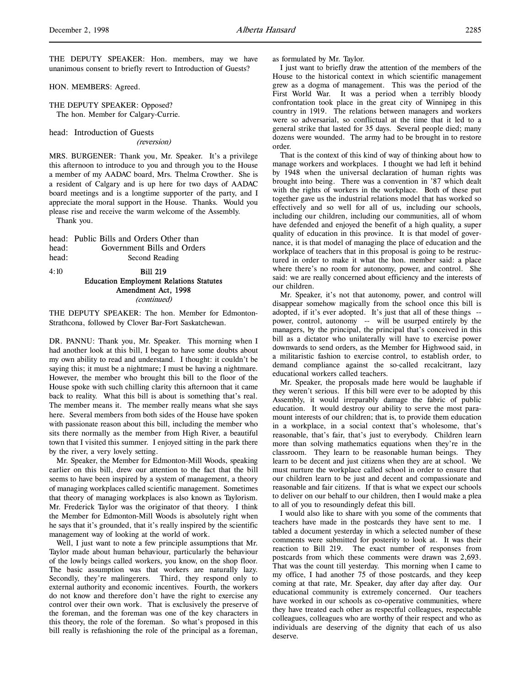THE DEPUTY SPEAKER: Hon. members, may we have unanimous consent to briefly revert to Introduction of Guests?

#### HON. MEMBERS: Agreed.

THE DEPUTY SPEAKER: Opposed? The hon. Member for Calgary-Currie.

head: Introduction of Guests

#### (reversion)

MRS. BURGENER: Thank you, Mr. Speaker. It's a privilege this afternoon to introduce to you and through you to the House a member of my AADAC board, Mrs. Thelma Crowther. She is a resident of Calgary and is up here for two days of AADAC board meetings and is a longtime supporter of the party, and I appreciate the moral support in the House. Thanks. Would you please rise and receive the warm welcome of the Assembly.

Thank you.

|       | head: Public Bills and Orders Other than |
|-------|------------------------------------------|
| head: | Government Bills and Orders              |
| head: | Second Reading                           |

4:10 Bill 219 Education Employment Relations Statutes Amendment Act, 1998 (continued)

THE DEPUTY SPEAKER: The hon. Member for Edmonton-Strathcona, followed by Clover Bar-Fort Saskatchewan.

DR. PANNU: Thank you, Mr. Speaker. This morning when I had another look at this bill, I began to have some doubts about my own ability to read and understand. I thought: it couldn't be saying this; it must be a nightmare; I must be having a nightmare. However, the member who brought this bill to the floor of the House spoke with such chilling clarity this afternoon that it came back to reality. What this bill is about is something that's real. The member means it. The member really means what she says here. Several members from both sides of the House have spoken with passionate reason about this bill, including the member who sits there normally as the member from High River, a beautiful town that I visited this summer. I enjoyed sitting in the park there by the river, a very lovely setting.

Mr. Speaker, the Member for Edmonton-Mill Woods, speaking earlier on this bill, drew our attention to the fact that the bill seems to have been inspired by a system of management, a theory of managing workplaces called scientific management. Sometimes that theory of managing workplaces is also known as Taylorism. Mr. Frederick Taylor was the originator of that theory. I think the Member for Edmonton-Mill Woods is absolutely right when he says that it's grounded, that it's really inspired by the scientific management way of looking at the world of work.

Well, I just want to note a few principle assumptions that Mr. Taylor made about human behaviour, particularly the behaviour of the lowly beings called workers, you know, on the shop floor. The basic assumption was that workers are naturally lazy. Secondly, they're malingerers. Third, they respond only to external authority and economic incentives. Fourth, the workers do not know and therefore don't have the right to exercise any control over their own work. That is exclusively the preserve of the foreman, and the foreman was one of the key characters in this theory, the role of the foreman. So what's proposed in this bill really is refashioning the role of the principal as a foreman,

#### as formulated by Mr. Taylor.

I just want to briefly draw the attention of the members of the House to the historical context in which scientific management grew as a dogma of management. This was the period of the First World War. It was a period when a terribly bloody confrontation took place in the great city of Winnipeg in this country in 1919. The relations between managers and workers were so adversarial, so conflictual at the time that it led to a general strike that lasted for 35 days. Several people died; many dozens were wounded. The army had to be brought in to restore order.

That is the context of this kind of way of thinking about how to manage workers and workplaces. I thought we had left it behind by 1948 when the universal declaration of human rights was brought into being. There was a convention in '87 which dealt with the rights of workers in the workplace. Both of these put together gave us the industrial relations model that has worked so effectively and so well for all of us, including our schools, including our children, including our communities, all of whom have defended and enjoyed the benefit of a high quality, a super quality of education in this province. It is that model of governance, it is that model of managing the place of education and the workplace of teachers that in this proposal is going to be restructured in order to make it what the hon. member said: a place where there's no room for autonomy, power, and control. She said: we are really concerned about efficiency and the interests of our children.

Mr. Speaker, it's not that autonomy, power, and control will disappear somehow magically from the school once this bill is adopted, if it's ever adopted. It's just that all of these things - power, control, autonomy -- will be usurped entirely by the managers, by the principal, the principal that's conceived in this bill as a dictator who unilaterally will have to exercise power downwards to send orders, as the Member for Highwood said, in a militaristic fashion to exercise control, to establish order, to demand compliance against the so-called recalcitrant, lazy educational workers called teachers.

Mr. Speaker, the proposals made here would be laughable if they weren't serious. If this bill were ever to be adopted by this Assembly, it would irreparably damage the fabric of public education. It would destroy our ability to serve the most paramount interests of our children; that is, to provide them education in a workplace, in a social context that's wholesome, that's reasonable, that's fair, that's just to everybody. Children learn more than solving mathematics equations when they're in the classroom. They learn to be reasonable human beings. They learn to be decent and just citizens when they are at school. We must nurture the workplace called school in order to ensure that our children learn to be just and decent and compassionate and reasonable and fair citizens. If that is what we expect our schools to deliver on our behalf to our children, then I would make a plea to all of you to resoundingly defeat this bill.

I would also like to share with you some of the comments that teachers have made in the postcards they have sent to me. I tabled a document yesterday in which a selected number of these comments were submitted for posterity to look at. It was their reaction to Bill 219. The exact number of responses from postcards from which these comments were drawn was 2,693. That was the count till yesterday. This morning when I came to my office, I had another 75 of those postcards, and they keep coming at that rate, Mr. Speaker, day after day after day. Our educational community is extremely concerned. Our teachers have worked in our schools as co-operative communities, where they have treated each other as respectful colleagues, respectable colleagues, colleagues who are worthy of their respect and who as individuals are deserving of the dignity that each of us also deserve.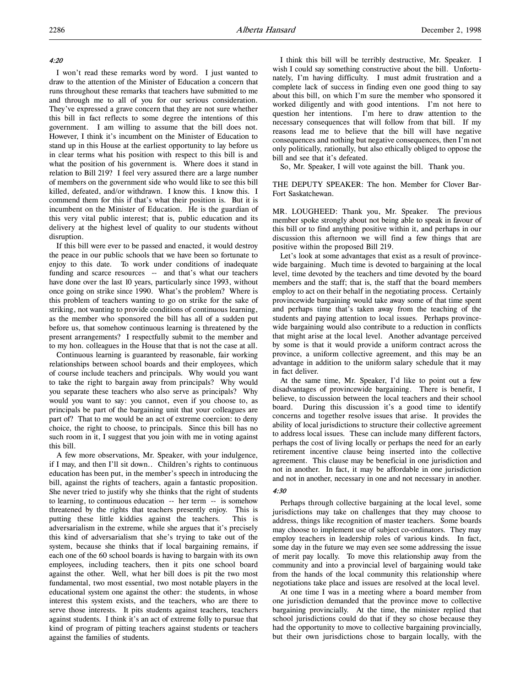#### 4:20

I won't read these remarks word by word. I just wanted to draw to the attention of the Minister of Education a concern that runs throughout these remarks that teachers have submitted to me and through me to all of you for our serious consideration. They've expressed a grave concern that they are not sure whether this bill in fact reflects to some degree the intentions of this government. I am willing to assume that the bill does not. However, I think it's incumbent on the Minister of Education to stand up in this House at the earliest opportunity to lay before us in clear terms what his position with respect to this bill is and what the position of his government is. Where does it stand in relation to Bill 219? I feel very assured there are a large number of members on the government side who would like to see this bill killed, defeated, and/or withdrawn. I know this. I know this. I commend them for this if that's what their position is. But it is incumbent on the Minister of Education. He is the guardian of this very vital public interest; that is, public education and its delivery at the highest level of quality to our students without disruption.

If this bill were ever to be passed and enacted, it would destroy the peace in our public schools that we have been so fortunate to enjoy to this date. To work under conditions of inadequate funding and scarce resources -- and that's what our teachers have done over the last 10 years, particularly since 1993, without once going on strike since 1990. What's the problem? Where is this problem of teachers wanting to go on strike for the sake of striking, not wanting to provide conditions of continuous learning, as the member who sponsored the bill has all of a sudden put before us, that somehow continuous learning is threatened by the present arrangements? I respectfully submit to the member and to my hon. colleagues in the House that that is not the case at all.

Continuous learning is guaranteed by reasonable, fair working relationships between school boards and their employees, which of course include teachers and principals. Why would you want to take the right to bargain away from principals? Why would you separate these teachers who also serve as principals? Why would you want to say: you cannot, even if you choose to, as principals be part of the bargaining unit that your colleagues are part of? That to me would be an act of extreme coercion: to deny choice, the right to choose, to principals. Since this bill has no such room in it, I suggest that you join with me in voting against this bill.

A few more observations, Mr. Speaker, with your indulgence, if I may, and then I'll sit down.. Children's rights to continuous education has been put, in the member's speech in introducing the bill, against the rights of teachers, again a fantastic proposition. She never tried to justify why she thinks that the right of students to learning, to continuous education -- her term -- is somehow threatened by the rights that teachers presently enjoy. This is putting these little kiddies against the teachers. This is adversarialism in the extreme, while she argues that it's precisely this kind of adversarialism that she's trying to take out of the system, because she thinks that if local bargaining remains, if each one of the 60 school boards is having to bargain with its own employees, including teachers, then it pits one school board against the other. Well, what her bill does is pit the two most fundamental, two most essential, two most notable players in the educational system one against the other: the students, in whose interest this system exists, and the teachers, who are there to serve those interests. It pits students against teachers, teachers against students. I think it's an act of extreme folly to pursue that kind of program of pitting teachers against students or teachers against the families of students.

I think this bill will be terribly destructive, Mr. Speaker. I wish I could say something constructive about the bill. Unfortunately, I'm having difficulty. I must admit frustration and a complete lack of success in finding even one good thing to say about this bill, on which I'm sure the member who sponsored it worked diligently and with good intentions. I'm not here to question her intentions. I'm here to draw attention to the necessary consequences that will follow from that bill. If my reasons lead me to believe that the bill will have negative consequences and nothing but negative consequences, then I'm not only politically, rationally, but also ethically obliged to oppose the bill and see that it's defeated.

So, Mr. Speaker, I will vote against the bill. Thank you.

THE DEPUTY SPEAKER: The hon. Member for Clover Bar-Fort Saskatchewan.

MR. LOUGHEED: Thank you, Mr. Speaker. The previous member spoke strongly about not being able to speak in favour of this bill or to find anything positive within it, and perhaps in our discussion this afternoon we will find a few things that are positive within the proposed Bill 219.

Let's look at some advantages that exist as a result of provincewide bargaining. Much time is devoted to bargaining at the local level, time devoted by the teachers and time devoted by the board members and the staff; that is, the staff that the board members employ to act on their behalf in the negotiating process. Certainly provincewide bargaining would take away some of that time spent and perhaps time that's taken away from the teaching of the students and paying attention to local issues. Perhaps provincewide bargaining would also contribute to a reduction in conflicts that might arise at the local level. Another advantage perceived by some is that it would provide a uniform contract across the province, a uniform collective agreement, and this may be an advantage in addition to the uniform salary schedule that it may in fact deliver.

At the same time, Mr. Speaker, I'd like to point out a few disadvantages of provincewide bargaining. There is benefit, I believe, to discussion between the local teachers and their school board. During this discussion it's a good time to identify concerns and together resolve issues that arise. It provides the ability of local jurisdictions to structure their collective agreement to address local issues. These can include many different factors, perhaps the cost of living locally or perhaps the need for an early retirement incentive clause being inserted into the collective agreement. This clause may be beneficial in one jurisdiction and not in another. In fact, it may be affordable in one jurisdiction and not in another, necessary in one and not necessary in another.

## 4:30

Perhaps through collective bargaining at the local level, some jurisdictions may take on challenges that they may choose to address, things like recognition of master teachers. Some boards may choose to implement use of subject co-ordinators. They may employ teachers in leadership roles of various kinds. In fact, some day in the future we may even see some addressing the issue of merit pay locally. To move this relationship away from the community and into a provincial level of bargaining would take from the hands of the local community this relationship where negotiations take place and issues are resolved at the local level.

At one time I was in a meeting where a board member from one jurisdiction demanded that the province move to collective bargaining provincially. At the time, the minister replied that school jurisdictions could do that if they so chose because they had the opportunity to move to collective bargaining provincially, but their own jurisdictions chose to bargain locally, with the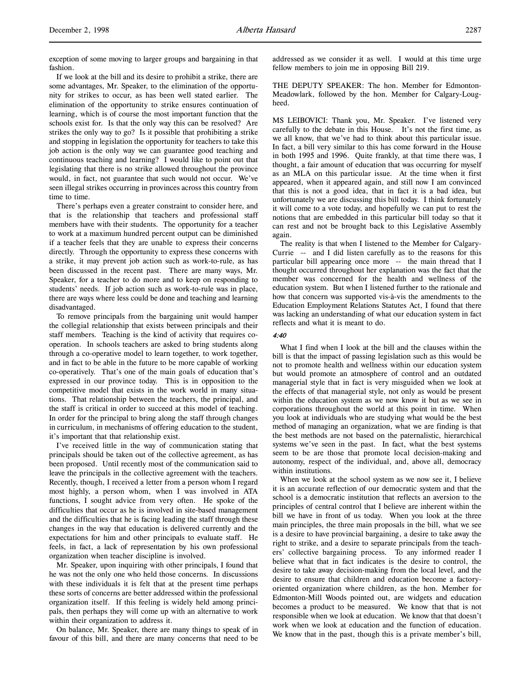exception of some moving to larger groups and bargaining in that fashion.

If we look at the bill and its desire to prohibit a strike, there are some advantages, Mr. Speaker, to the elimination of the opportunity for strikes to occur, as has been well stated earlier. The elimination of the opportunity to strike ensures continuation of learning, which is of course the most important function that the schools exist for. Is that the only way this can be resolved? Are strikes the only way to go? Is it possible that prohibiting a strike and stopping in legislation the opportunity for teachers to take this job action is the only way we can guarantee good teaching and continuous teaching and learning? I would like to point out that legislating that there is no strike allowed throughout the province would, in fact, not guarantee that such would not occur. We've seen illegal strikes occurring in provinces across this country from time to time.

There's perhaps even a greater constraint to consider here, and that is the relationship that teachers and professional staff members have with their students. The opportunity for a teacher to work at a maximum hundred percent output can be diminished if a teacher feels that they are unable to express their concerns directly. Through the opportunity to express these concerns with a strike, it may prevent job action such as work-to-rule, as has been discussed in the recent past. There are many ways, Mr. Speaker, for a teacher to do more and to keep on responding to students' needs. If job action such as work-to-rule was in place, there are ways where less could be done and teaching and learning disadvantaged.

To remove principals from the bargaining unit would hamper the collegial relationship that exists between principals and their staff members. Teaching is the kind of activity that requires cooperation. In schools teachers are asked to bring students along through a co-operative model to learn together, to work together, and in fact to be able in the future to be more capable of working co-operatively. That's one of the main goals of education that's expressed in our province today. This is in opposition to the competitive model that exists in the work world in many situations. That relationship between the teachers, the principal, and the staff is critical in order to succeed at this model of teaching. In order for the principal to bring along the staff through changes in curriculum, in mechanisms of offering education to the student, it's important that that relationship exist.

I've received little in the way of communication stating that principals should be taken out of the collective agreement, as has been proposed. Until recently most of the communication said to leave the principals in the collective agreement with the teachers. Recently, though, I received a letter from a person whom I regard most highly, a person whom, when I was involved in ATA functions, I sought advice from very often. He spoke of the difficulties that occur as he is involved in site-based management and the difficulties that he is facing leading the staff through these changes in the way that education is delivered currently and the expectations for him and other principals to evaluate staff. He feels, in fact, a lack of representation by his own professional organization when teacher discipline is involved.

Mr. Speaker, upon inquiring with other principals, I found that he was not the only one who held those concerns. In discussions with these individuals it is felt that at the present time perhaps these sorts of concerns are better addressed within the professional organization itself. If this feeling is widely held among principals, then perhaps they will come up with an alternative to work within their organization to address it.

On balance, Mr. Speaker, there are many things to speak of in favour of this bill, and there are many concerns that need to be

addressed as we consider it as well. I would at this time urge fellow members to join me in opposing Bill 219.

THE DEPUTY SPEAKER: The hon. Member for Edmonton-Meadowlark, followed by the hon. Member for Calgary-Lougheed.

MS LEIBOVICI: Thank you, Mr. Speaker. I've listened very carefully to the debate in this House. It's not the first time, as we all know, that we've had to think about this particular issue. In fact, a bill very similar to this has come forward in the House in both 1995 and 1996. Quite frankly, at that time there was, I thought, a fair amount of education that was occurring for myself as an MLA on this particular issue. At the time when it first appeared, when it appeared again, and still now I am convinced that this is not a good idea, that in fact it is a bad idea, but unfortunately we are discussing this bill today. I think fortunately it will come to a vote today, and hopefully we can put to rest the notions that are embedded in this particular bill today so that it can rest and not be brought back to this Legislative Assembly again.

The reality is that when I listened to the Member for Calgary-Currie -- and I did listen carefully as to the reasons for this particular bill appearing once more -- the main thread that I thought occurred throughout her explanation was the fact that the member was concerned for the health and wellness of the education system. But when I listened further to the rationale and how that concern was supported vis-à-vis the amendments to the Education Employment Relations Statutes Act, I found that there was lacking an understanding of what our education system in fact reflects and what it is meant to do.

### 4:40

What I find when I look at the bill and the clauses within the bill is that the impact of passing legislation such as this would be not to promote health and wellness within our education system but would promote an atmosphere of control and an outdated managerial style that in fact is very misguided when we look at the effects of that managerial style, not only as would be present within the education system as we now know it but as we see in corporations throughout the world at this point in time. When you look at individuals who are studying what would be the best method of managing an organization, what we are finding is that the best methods are not based on the paternalistic, hierarchical systems we've seen in the past. In fact, what the best systems seem to be are those that promote local decision-making and autonomy, respect of the individual, and, above all, democracy within institutions.

When we look at the school system as we now see it, I believe it is an accurate reflection of our democratic system and that the school is a democratic institution that reflects an aversion to the principles of central control that I believe are inherent within the bill we have in front of us today. When you look at the three main principles, the three main proposals in the bill, what we see is a desire to have provincial bargaining, a desire to take away the right to strike, and a desire to separate principals from the teachers' collective bargaining process. To any informed reader I believe what that in fact indicates is the desire to control, the desire to take away decision-making from the local level, and the desire to ensure that children and education become a factoryoriented organization where children, as the hon. Member for Edmonton-Mill Woods pointed out, are widgets and education becomes a product to be measured. We know that that is not responsible when we look at education. We know that that doesn't work when we look at education and the function of education. We know that in the past, though this is a private member's bill,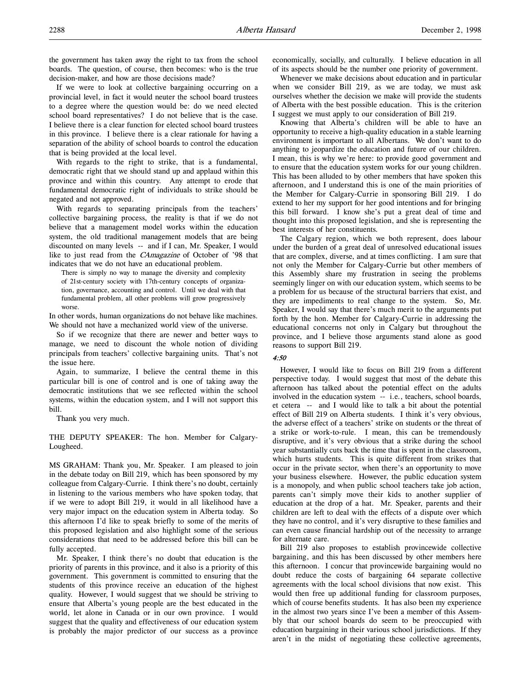If we were to look at collective bargaining occurring on a provincial level, in fact it would neuter the school board trustees to a degree where the question would be: do we need elected school board representatives? I do not believe that is the case. I believe there is a clear function for elected school board trustees in this province. I believe there is a clear rationale for having a separation of the ability of school boards to control the education that is being provided at the local level.

With regards to the right to strike, that is a fundamental, democratic right that we should stand up and applaud within this province and within this country. Any attempt to erode that fundamental democratic right of individuals to strike should be negated and not approved.

With regards to separating principals from the teachers' collective bargaining process, the reality is that if we do not believe that a management model works within the education system, the old traditional management models that are being discounted on many levels -- and if I can, Mr. Speaker, I would like to just read from the CAmagazine of October of '98 that indicates that we do not have an educational problem.

There is simply no way to manage the diversity and complexity of 21st-century society with 17th-century concepts of organization, governance, accounting and control. Until we deal with that fundamental problem, all other problems will grow progressively worse.

In other words, human organizations do not behave like machines. We should not have a mechanized world view of the universe.

So if we recognize that there are newer and better ways to manage, we need to discount the whole notion of dividing principals from teachers' collective bargaining units. That's not the issue here.

Again, to summarize, I believe the central theme in this particular bill is one of control and is one of taking away the democratic institutions that we see reflected within the school systems, within the education system, and I will not support this bill.

Thank you very much.

THE DEPUTY SPEAKER: The hon. Member for Calgary-Lougheed.

MS GRAHAM: Thank you, Mr. Speaker. I am pleased to join in the debate today on Bill 219, which has been sponsored by my colleague from Calgary-Currie. I think there's no doubt, certainly in listening to the various members who have spoken today, that if we were to adopt Bill 219, it would in all likelihood have a very major impact on the education system in Alberta today. So this afternoon I'd like to speak briefly to some of the merits of this proposed legislation and also highlight some of the serious considerations that need to be addressed before this bill can be fully accepted.

Mr. Speaker, I think there's no doubt that education is the priority of parents in this province, and it also is a priority of this government. This government is committed to ensuring that the students of this province receive an education of the highest quality. However, I would suggest that we should be striving to ensure that Alberta's young people are the best educated in the world, let alone in Canada or in our own province. I would suggest that the quality and effectiveness of our education system is probably the major predictor of our success as a province economically, socially, and culturally. I believe education in all of its aspects should be the number one priority of government.

Whenever we make decisions about education and in particular when we consider Bill 219, as we are today, we must ask ourselves whether the decision we make will provide the students of Alberta with the best possible education. This is the criterion I suggest we must apply to our consideration of Bill 219.

Knowing that Alberta's children will be able to have an opportunity to receive a high-quality education in a stable learning environment is important to all Albertans. We don't want to do anything to jeopardize the education and future of our children. I mean, this is why we're here: to provide good government and to ensure that the education system works for our young children. This has been alluded to by other members that have spoken this afternoon, and I understand this is one of the main priorities of the Member for Calgary-Currie in sponsoring Bill 219. I do extend to her my support for her good intentions and for bringing this bill forward. I know she's put a great deal of time and thought into this proposed legislation, and she is representing the best interests of her constituents.

The Calgary region, which we both represent, does labour under the burden of a great deal of unresolved educational issues that are complex, diverse, and at times conflicting. I am sure that not only the Member for Calgary-Currie but other members of this Assembly share my frustration in seeing the problems seemingly linger on with our education system, which seems to be a problem for us because of the structural barriers that exist, and they are impediments to real change to the system. So, Mr. Speaker, I would say that there's much merit to the arguments put forth by the hon. Member for Calgary-Currie in addressing the educational concerns not only in Calgary but throughout the province, and I believe those arguments stand alone as good reasons to support Bill 219.

# 4:50

However, I would like to focus on Bill 219 from a different perspective today. I would suggest that most of the debate this afternoon has talked about the potential effect on the adults involved in the education system -- i.e., teachers, school boards, et cetera -- and I would like to talk a bit about the potential effect of Bill 219 on Alberta students. I think it's very obvious, the adverse effect of a teachers' strike on students or the threat of a strike or work-to-rule. I mean, this can be tremendously disruptive, and it's very obvious that a strike during the school year substantially cuts back the time that is spent in the classroom, which hurts students. This is quite different from strikes that occur in the private sector, when there's an opportunity to move your business elsewhere. However, the public education system is a monopoly, and when public school teachers take job action, parents can't simply move their kids to another supplier of education at the drop of a hat. Mr. Speaker, parents and their children are left to deal with the effects of a dispute over which they have no control, and it's very disruptive to these families and can even cause financial hardship out of the necessity to arrange for alternate care.

Bill 219 also proposes to establish provincewide collective bargaining, and this has been discussed by other members here this afternoon. I concur that provincewide bargaining would no doubt reduce the costs of bargaining 64 separate collective agreements with the local school divisions that now exist. This would then free up additional funding for classroom purposes, which of course benefits students. It has also been my experience in the almost two years since I've been a member of this Assembly that our school boards do seem to be preoccupied with education bargaining in their various school jurisdictions. If they aren't in the midst of negotiating these collective agreements,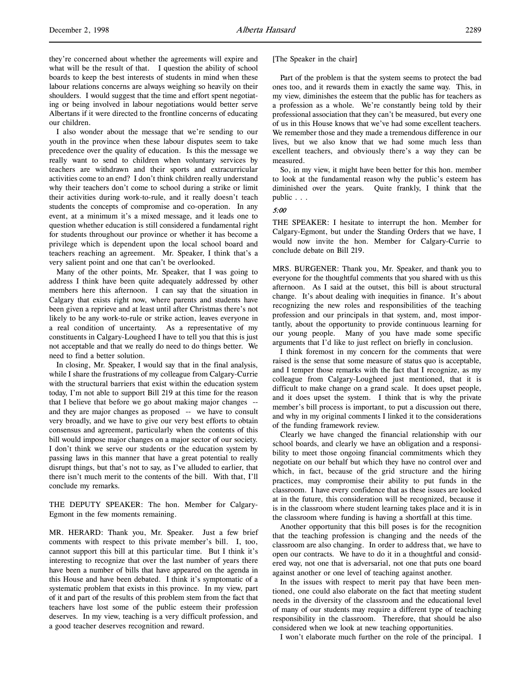they're concerned about whether the agreements will expire and what will be the result of that. I question the ability of school boards to keep the best interests of students in mind when these labour relations concerns are always weighing so heavily on their shoulders. I would suggest that the time and effort spent negotiating or being involved in labour negotiations would better serve Albertans if it were directed to the frontline concerns of educating our children.

I also wonder about the message that we're sending to our youth in the province when these labour disputes seem to take precedence over the quality of education. Is this the message we really want to send to children when voluntary services by teachers are withdrawn and their sports and extracurricular activities come to an end? I don't think children really understand why their teachers don't come to school during a strike or limit their activities during work-to-rule, and it really doesn't teach students the concepts of compromise and co-operation. In any event, at a minimum it's a mixed message, and it leads one to question whether education is still considered a fundamental right for students throughout our province or whether it has become a privilege which is dependent upon the local school board and teachers reaching an agreement. Mr. Speaker, I think that's a very salient point and one that can't be overlooked.

Many of the other points, Mr. Speaker, that I was going to address I think have been quite adequately addressed by other members here this afternoon. I can say that the situation in Calgary that exists right now, where parents and students have been given a reprieve and at least until after Christmas there's not likely to be any work-to-rule or strike action, leaves everyone in a real condition of uncertainty. As a representative of my constituents in Calgary-Lougheed I have to tell you that this is just not acceptable and that we really do need to do things better. We need to find a better solution.

In closing, Mr. Speaker, I would say that in the final analysis, while I share the frustrations of my colleague from Calgary-Currie with the structural barriers that exist within the education system today, I'm not able to support Bill 219 at this time for the reason that I believe that before we go about making major changes - and they are major changes as proposed -- we have to consult very broadly, and we have to give our very best efforts to obtain consensus and agreement, particularly when the contents of this bill would impose major changes on a major sector of our society. I don't think we serve our students or the education system by passing laws in this manner that have a great potential to really disrupt things, but that's not to say, as I've alluded to earlier, that there isn't much merit to the contents of the bill. With that, I'll conclude my remarks.

THE DEPUTY SPEAKER: The hon. Member for Calgary-Egmont in the few moments remaining.

MR. HERARD: Thank you, Mr. Speaker. Just a few brief comments with respect to this private member's bill. I, too, cannot support this bill at this particular time. But I think it's interesting to recognize that over the last number of years there have been a number of bills that have appeared on the agenda in this House and have been debated. I think it's symptomatic of a systematic problem that exists in this province. In my view, part of it and part of the results of this problem stem from the fact that teachers have lost some of the public esteem their profession deserves. In my view, teaching is a very difficult profession, and a good teacher deserves recognition and reward.

[The Speaker in the chair]

Part of the problem is that the system seems to protect the bad ones too, and it rewards them in exactly the same way. This, in my view, diminishes the esteem that the public has for teachers as a profession as a whole. We're constantly being told by their professional association that they can't be measured, but every one of us in this House knows that we've had some excellent teachers. We remember those and they made a tremendous difference in our lives, but we also know that we had some much less than excellent teachers, and obviously there's a way they can be measured.

So, in my view, it might have been better for this hon. member to look at the fundamental reason why the public's esteem has diminished over the years. Quite frankly, I think that the public . . .

#### 5:00

THE SPEAKER: I hesitate to interrupt the hon. Member for Calgary-Egmont, but under the Standing Orders that we have, I would now invite the hon. Member for Calgary-Currie to conclude debate on Bill 219.

MRS. BURGENER: Thank you, Mr. Speaker, and thank you to everyone for the thoughtful comments that you shared with us this afternoon. As I said at the outset, this bill is about structural change. It's about dealing with inequities in finance. It's about recognizing the new roles and responsibilities of the teaching profession and our principals in that system, and, most importantly, about the opportunity to provide continuous learning for our young people. Many of you have made some specific arguments that I'd like to just reflect on briefly in conclusion.

I think foremost in my concern for the comments that were raised is the sense that some measure of status quo is acceptable, and I temper those remarks with the fact that I recognize, as my colleague from Calgary-Lougheed just mentioned, that it is difficult to make change on a grand scale. It does upset people, and it does upset the system. I think that is why the private member's bill process is important, to put a discussion out there, and why in my original comments I linked it to the considerations of the funding framework review.

Clearly we have changed the financial relationship with our school boards, and clearly we have an obligation and a responsibility to meet those ongoing financial commitments which they negotiate on our behalf but which they have no control over and which, in fact, because of the grid structure and the hiring practices, may compromise their ability to put funds in the classroom. I have every confidence that as these issues are looked at in the future, this consideration will be recognized, because it is in the classroom where student learning takes place and it is in the classroom where funding is having a shortfall at this time.

Another opportunity that this bill poses is for the recognition that the teaching profession is changing and the needs of the classroom are also changing. In order to address that, we have to open our contracts. We have to do it in a thoughtful and considered way, not one that is adversarial, not one that puts one board against another or one level of teaching against another.

In the issues with respect to merit pay that have been mentioned, one could also elaborate on the fact that meeting student needs in the diversity of the classroom and the educational level of many of our students may require a different type of teaching responsibility in the classroom. Therefore, that should be also considered when we look at new teaching opportunities.

I won't elaborate much further on the role of the principal. I